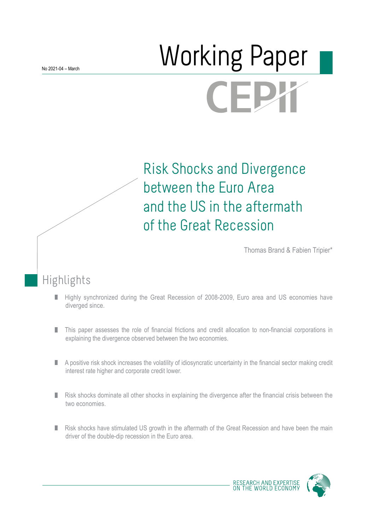# Morking Paper FΙ

Risk Shocks and Divergence between the Euro Area and the US in the aftermath of the Great Recession

Thomas Brand & Fabien Tripier\*

## Highlights

- Highly synchronized during the Great Recession of 2008-2009, Euro area and US economies have ٠ diverged since.
- This paper assesses the role of financial frictions and credit allocation to non-financial corporations in ٠ explaining the divergence observed between the two economies.
- П A positive risk shock increases the volatility of idiosyncratic uncertainty in the financial sector making credit interest rate higher and corporate credit lower.
- п Risk shocks dominate all other shocks in explaining the divergence after the financial crisis between the two economies.
- Risk shocks have stimulated US growth in the aftermath of the Great Recession and have been the main П driver of the double-dip recession in the Euro area.



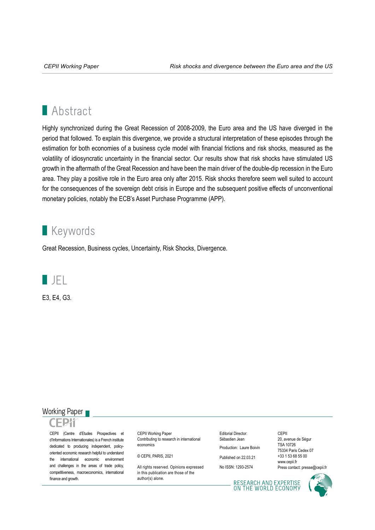## **Abstract**

Highly synchronized during the Great Recession of 2008-2009, the Euro area and the US have diverged in the period that followed. To explain this divergence, we provide a structural interpretation of these episodes through the estimation for both economies of a business cycle model with financial frictions and risk shocks, measured as the volatility of idiosyncratic uncertainty in the financial sector. Our results show that risk shocks have stimulated US growth in the aftermath of the Great Recession and have been the main driver of the double-dip recession in the Euro area. They play a positive role in the Euro area only after 2015. Risk shocks therefore seem well suited to account for the consequences of the sovereign debt crisis in Europe and the subsequent positive effects of unconventional monetary policies, notably the ECB's Asset Purchase Programme (APP).

## **Keywords**

Great Recession, Business cycles, Uncertainty, Risk Shocks, Divergence.



E3, E4, G3.

#### Working Paper

CEPII (Centre d'Etudes Prospectives et d'Informations Internationales) is a French institute dedicated to producing independent, policyoriented economic research helpful to understand the international economic environment and challenges in the areas of trade policy, competitiveness, macroeconomics, international finance and growth.

CEPII Working Paper Contributing to research in international economics

© CEPII, PARIS, 2021

All rights reserved. Opinions expressed in this publication are those of the author(s) alone.

Editorial Director: Sébastien Jean Production: Laure Boivin

Published on 22.03.21

No ISSN: 1293-2574

20, avenue de Ségur TSA 10726 75334 Paris Cedex 07 +33 1 53 68 55 00 www.cepii.fr Press contact: presse@cepii.fr

CEPII

RESEARCH AND EXPERTISE<br>ON THE WORLD ECONOMY

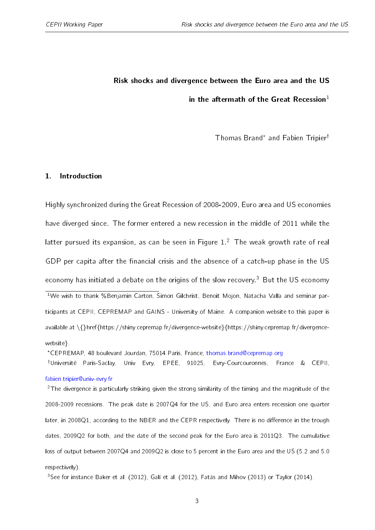## Risk shocks and divergence between the Euro area and the US in the aftermath of the Great Recession $<sup>1</sup>$  $<sup>1</sup>$  $<sup>1</sup>$ </sup>

Thomas Brand<sup>\*</sup> and Fabien Tripier<sup>†</sup>

#### 1. Introduction

Highly synchronized during the Great Recession of 2008-2009, Euro area and US economies have diverged since. The former entered a new recession in the middle of 2011 while the latter pursued its expansion, as can be seen in Figure  $1.^2$  $1.^2$  $1.^2$  The weak growth rate of real GDP per capita after the financial crisis and the absence of a catch-up phase in the US economy has initiated a debate on the origins of the slow recovery.<sup>[3](#page-2-4)</sup> But the US economy <sup>1</sup>We wish to thank %Benjamin Carton, Simon Gilchrist, Benoit Mojon, Natacha Valla and seminar participants at CEPII, CEPREMAP and GAINS - University of Maine. A companion website to this paper is available at \{}href{https://shiny.cepremap.fr/divergence-website}{https://shiny.cepremap.fr/divergencewebsite}.

<span id="page-2-2"></span><span id="page-2-1"></span><span id="page-2-0"></span>CEPREMAP, 48 boulevard Jourdan, 75014 Paris, France, [thomas.brand@cepremap.org](mailto:thomas.brand@cepremap.org)

<sup>†</sup>Université Paris-Saclay, Univ Evry, EPEE, 91025, Evry-Courcouronnes, France & CEPII, [fabien.tripier@univ-evry.fr](mailto:fabien.tripier@univ-evry.fr)

<span id="page-2-3"></span><sup>2</sup>The divergence is particularly striking given the strong similarity of the timing and the magnitude of the 2008-2009 recessions. The peak date is 2007Q4 for the US, and Euro area enters recession one quarter later, in 2008 $Q1$ , according to the NBER and the CEPR respectively. There is no difference in the trough dates, 2009Q2 for both, and the date of the second peak for the Euro area is 2011Q3. The cumulative loss of output between 2007Q4 and 2009Q2 is close to 5 percent in the Euro area and the US (5.2 and 5.0 respectively).

<span id="page-2-4"></span><sup>3</sup>See for instance [Baker et al.](#page-35-0) [\(2012\)](#page-38-0), [Galí et al.](#page-38-0) (2012), [Fatás and Mihov](#page-38-1) [\(2013\)](#page-38-1) or [Taylor](#page-40-0) [\(2014\)](#page-40-0).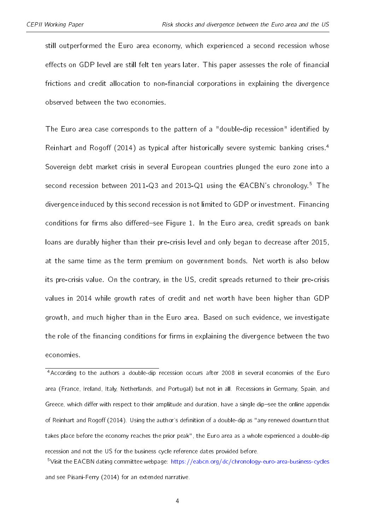still outperformed the Euro area economy, which experienced a second recession whose effects on GDP level are still felt ten years later. This paper assesses the role of financial frictions and credit allocation to non-financial corporations in explaining the divergence observed between the two economies.

The Euro area case corresponds to the pattern of a "double-dip recession" identified by [Reinhart and Rogo](#page-40-1)ff [\(2014\)](#page-40-1) as typical after historically severe systemic banking crises.<sup>[4](#page-3-0)</sup> Sovereign debt market crisis in several European countries plunged the euro zone into a second recession between 2011-Q3 and 2013-Q1 using the  $\epsilon$ ACBN's chronology.<sup>[5](#page-3-1)</sup> The divergence induced by this second recession is not limited to GDP or investment. Financing conditions for firms also differed-see Figure [1.](#page-5-0) In the Euro area, credit spreads on bank loans are durably higher than their pre-crisis level and only began to decrease after 2015, at the same time as the term premium on government bonds. Net worth is also below its pre-crisis value. On the contrary, in the US, credit spreads returned to their pre-crisis values in 2014 while growth rates of credit and net worth have been higher than GDP growth, and much higher than in the Euro area. Based on such evidence, we investigate the role of the financing conditions for firms in explaining the divergence between the two economies.

<span id="page-3-0"></span><sup>4</sup>According to the authors a double-dip recession occurs after 2008 in several economies of the Euro area (France, Ireland, Italy, Netherlands, and Portugal) but not in all. Recessions in Germany, Spain, and Greece, which differ with respect to their amplitude and duration, have a single dip-see the online appendix of [Reinhart and Rogo](#page-40-1)ff [\(2014\)](#page-40-1). Using the author's definition of a double-dip as "any renewed downturn that takes place before the economy reaches the prior peak", the Euro area as a whole experienced a double-dip recession and not the US for the business cycle reference dates provided before.

<span id="page-3-1"></span><sup>5</sup>Visit the EACBN dating committee webpage: <https://eabcn.org/dc/chronology-euro-area-business-cycles> and see [Pisani-Ferry](#page-39-0) [\(2014\)](#page-39-0) for an extended narrative.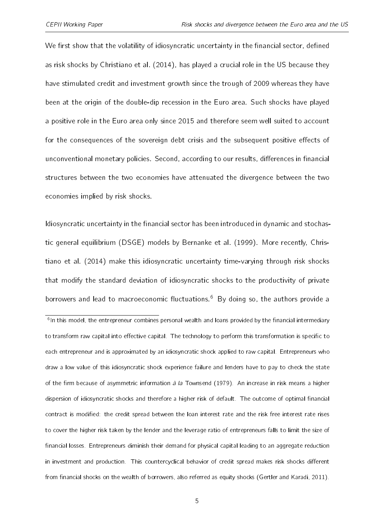We first show that the volatility of idiosyncratic uncertainty in the financial sector, defined as risk shocks by [Christiano et al.](#page-37-0) [\(2014\)](#page-37-0), has played a crucial role in the US because they have stimulated credit and investment growth since the trough of 2009 whereas they have been at the origin of the double-dip recession in the Euro area. Such shocks have played a positive role in the Euro area only since 2015 and therefore seem well suited to account for the consequences of the sovereign debt crisis and the subsequent positive effects of unconventional monetary policies. Second, according to our results, differences in financial structures between the two economies have attenuated the divergence between the two economies implied by risk shocks.

Idiosyncratic uncertainty in the financial sector has been introduced in dynamic and stochastic general equilibrium (DSGE) models by [Bernanke et al.](#page-36-0) [\(1999\)](#page-36-0). More recently, [Chris](#page-37-0)[tiano et al.](#page-37-0) [\(2014\)](#page-37-0) make this idiosyncratic uncertainty time-varying through risk shocks that modify the standard deviation of idiosyncratic shocks to the productivity of private borrowers and lead to macroeconomic fluctuations.<sup>[6](#page-4-0)</sup> By doing so, the authors provide a

<span id="page-4-0"></span><sup>&</sup>lt;sup>6</sup>In this model, the entrepreneur combines personal wealth and loans provided by the financial intermediary to transform raw capital into effective capital. The technology to perform this transformation is specific to each entrepreneur and is approximated by an idiosyncratic shock applied to raw capital. Entrepreneurs who draw a low value of this idiosyncratic shock experience failure and lenders have to pay to check the state of the firm because of asymmetric information  $\partial \overline{\partial}$  a [Townsend](#page-41-0) [\(1979\)](#page-41-0). An increase in risk means a higher dispersion of idiosyncratic shocks and therefore a higher risk of default. The outcome of optimal financial contract is modified: the credit spread between the loan interest rate and the risk free interest rate rises to cover the higher risk taken by the lender and the leverage ratio of entrepreneurs falls to limit the size of financial losses. Entrepreneurs diminish their demand for physical capital leading to an aggregate reduction in investment and production. This countercyclical behavior of credit spread makes risk shocks different from financial shocks on the wealth of borrowers, also referred as equity shocks [\(Gertler and Karadi,](#page-38-2) [2011\)](#page-38-2).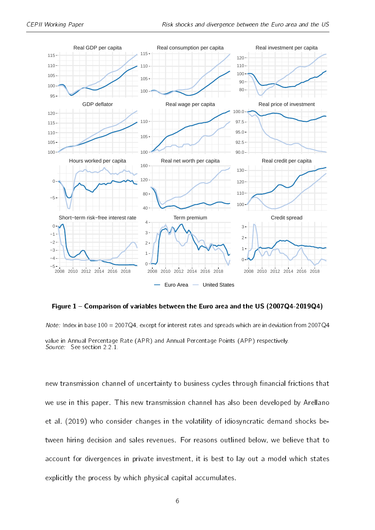<span id="page-5-0"></span>

Figure 1 – Comparison of variables between the Euro area and the US (2007Q4-2019Q4)

Note: Index in base 100 = 2007Q4, except for interest rates and spreads which are in deviation from 2007Q4 value in Annual Percentage Rate (APR) and Annual Percentage Points (APP) respectively. Source: See section [2.2.1.](#page-14-0)

new transmission channel of uncertainty to business cycles through financial frictions that we use in this paper. This new transmission channel has also been developed by [Arellano](#page-35-1) [et al.](#page-35-1) [\(2019\)](#page-35-1) who consider changes in the volatility of idiosyncratic demand shocks between hiring decision and sales revenues. For reasons outlined below, we believe that to account for divergences in private investment, it is best to lay out a model which states explicitly the process by which physical capital accumulates.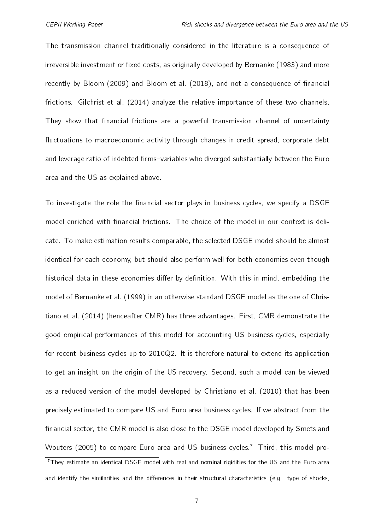The transmission channel traditionally considered in the literature is a consequence of irreversible investment or fixed costs, as originally developed by [Bernanke](#page-36-1) [\(1983\)](#page-36-1) and more recently by [Bloom](#page-36-2) [\(2009\)](#page-36-2) and [Bloom et al.](#page-36-3) [\(2018\)](#page-36-3), and not a consequence of financial frictions. [Gilchrist et al.](#page-38-3) [\(2014\)](#page-38-3) analyze the relative importance of these two channels. They show that financial frictions are a powerful transmission channel of uncertainty fluctuations to macroeconomic activity through changes in credit spread, corporate debt and leverage ratio of indebted firms-variables who diverged substantially between the Euro area and the US as explained above.

To investigate the role the financial sector plays in business cycles, we specify a DSGE model enriched with financial frictions. The choice of the model in our context is delicate. To make estimation results comparable, the selected DSGE model should be almost identical for each economy, but should also perform well for both economies even though historical data in these economies differ by definition. With this in mind, embedding the model of [Bernanke et al.](#page-36-0) [\(1999\)](#page-36-0) in an otherwise standard DSGE model as the one of [Chris](#page-37-0)[tiano et al.](#page-37-0) [\(2014\)](#page-37-0) (henceafter CMR) has three advantages. First, CMR demonstrate the good empirical performances of this model for accounting US business cycles, especially for recent business cycles up to 2010Q2. It is therefore natural to extend its application to get an insight on the origin of the US recovery. Second, such a model can be viewed as a reduced version of the model developed by [Christiano et al.](#page-36-4) [\(2010\)](#page-36-4) that has been precisely estimated to compare US and Euro area business cycles. If we abstract from the financial sector, the CMR model is also close to the DSGE model developed by [Smets and](#page-40-2) [Wouters](#page-40-2) [\(2005\)](#page-40-2) to compare Euro area and US business cycles.<sup>[7](#page-6-0)</sup> Third, this model pro-<sup>7</sup>They estimate an identical DSGE model with real and nominal rigidities for the US and the Euro area

<span id="page-6-0"></span>and identify the similarities and the differences in their structural characteristics (e.g. type of shocks,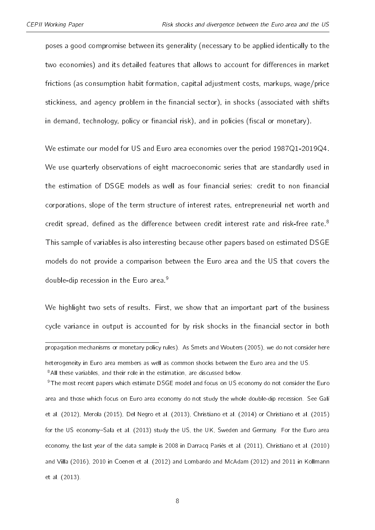poses a good compromise between its generality (necessary to be applied identically to the two economies) and its detailed features that allows to account for differences in market frictions (as consumption habit formation, capital adjustment costs, markups, wage/price stickiness, and agency problem in the financial sector), in shocks (associated with shifts in demand, technology, policy or financial risk), and in policies (fiscal or monetary).

We estimate our model for US and Euro area economies over the period 1987Q1-2019Q4. We use quarterly observations of eight macroeconomic series that are standardly used in the estimation of DSGE models as well as four financial series: credit to non financial corporations, slope of the term structure of interest rates, entrepreneurial net worth and credit spread, defined as the difference between credit interest rate and risk-free rate. $8$ This sample of variables is also interesting because other papers based on estimated DSGE models do not provide a comparison between the Euro area and the US that covers the double-dip recession in the Euro area.<sup>[9](#page-7-1)</sup>

We highlight two sets of results. First, we show that an important part of the business cycle variance in output is accounted for by risk shocks in the financial sector in both

<sup>9</sup>The most recent papers which estimate DSGE model and focus on US economy do not consider the Euro area and those which focus on Euro area economy do not study the whole double-dip recession. See [Galí](#page-38-0) [et al.](#page-38-0) [\(2012\)](#page-38-0), [Merola](#page-39-1) [\(2015\)](#page-39-1), [Del Negro et al.](#page-37-1) [\(2013\)](#page-37-1), [Christiano et al.](#page-37-0) [\(2014\)](#page-37-0) or [Christiano et al.](#page-37-2) [\(2015\)](#page-37-2) for the US economy-[Sala et al.](#page-40-3) [\(2013\)](#page-40-3) study the US, the UK, Sweden and Germany. For the Euro area economy, the last year of the data sample is 2008 in [Darracq Pariès et al.](#page-37-3) [\(2011\)](#page-37-3), [Christiano et al.](#page-36-4) [\(2010\)](#page-36-4) and [Villa](#page-41-1) [\(2016\)](#page-41-1), 2010 in [Coenen et al.](#page-37-4) [\(2012\)](#page-37-4) and [Lombardo and McAdam](#page-39-2) [\(2012\)](#page-39-2) and 2011 in [Kollmann](#page-39-3) [et al.](#page-39-3) [\(2013\)](#page-39-3).

8

propagation mechanisms or monetary policy rules). As [Smets and Wouters](#page-40-2) [\(2005\)](#page-40-2), we do not consider here

<span id="page-7-1"></span><span id="page-7-0"></span>heterogeneity in Euro area members as well as common shocks between the Euro area and the US. <sup>8</sup>All these variables, and their role in the estimation, are discussed below.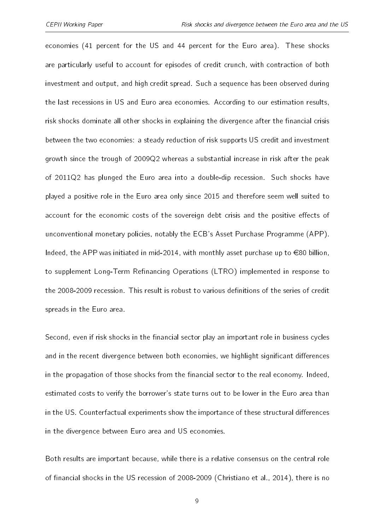economies (41 percent for the US and 44 percent for the Euro area). These shocks are particularly useful to account for episodes of credit crunch, with contraction of both investment and output, and high credit spread. Such a sequence has been observed during the last recessions in US and Euro area economies. According to our estimation results, risk shocks dominate all other shocks in explaining the divergence after the financial crisis between the two economies: a steady reduction of risk supports US credit and investment growth since the trough of 2009Q2 whereas a substantial increase in risk after the peak of 2011Q2 has plunged the Euro area into a double-dip recession. Such shocks have played a positive role in the Euro area only since 2015 and therefore seem well suited to account for the economic costs of the sovereign debt crisis and the positive effects of unconventional monetary policies, notably the ECB's Asset Purchase Programme (APP). Indeed, the APP was initiated in mid-2014, with monthly asset purchase up to  $\in$ 80 billion, to supplement Long-Term Refinancing Operations (LTRO) implemented in response to the 2008-2009 recession. This result is robust to various definitions of the series of credit spreads in the Euro area.

Second, even if risk shocks in the financial sector play an important role in business cycles and in the recent divergence between both economies, we highlight significant differences in the propagation of those shocks from the financial sector to the real economy. Indeed, estimated costs to verify the borrower's state turns out to be lower in the Euro area than in the US. Counterfactual experiments show the importance of these structural differences in the divergence between Euro area and US economies.

Both results are important because, while there is a relative consensus on the central role of financial shocks in the US recession of 2008-2009 [\(Christiano et al.,](#page-37-0) [2014\)](#page-37-0), there is no

9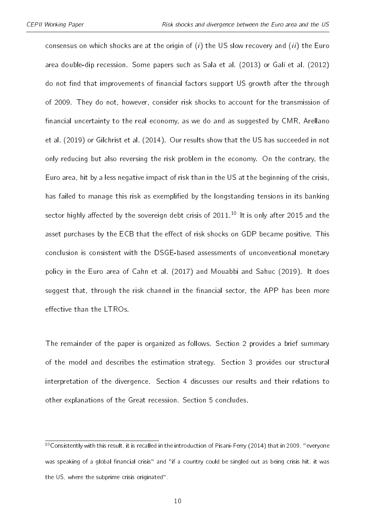consensus on which shocks are at the origin of  $(i)$  the US slow recovery and  $(ii)$  the Euro area double-dip recession. Some papers such as [Sala et al.](#page-40-3) [\(2013\)](#page-40-3) or [Galí et al.](#page-38-0) [\(2012\)](#page-38-0) do not find that improvements of financial factors support US growth after the through of 2009. They do not, however, consider risk shocks to account for the transmission of financial uncertainty to the real economy, as we do and as suggested by CMR, [Arellano](#page-35-1) [et al.](#page-35-1) [\(2019\)](#page-35-1) or [Gilchrist et al.](#page-38-3) [\(2014\)](#page-38-3). Our results show that the US has succeeded in not only reducing but also reversing the risk problem in the economy. On the contrary, the Euro area, hit by a less negative impact of risk than in the US at the beginning of the crisis, has failed to manage this risk as exemplified by the longstanding tensions in its banking sector highly affected by the sovereign debt crisis of  $2011<sup>10</sup>$  $2011<sup>10</sup>$  $2011<sup>10</sup>$  It is only after 2015 and the asset purchases by the ECB that the effect of risk shocks on GDP became positive. This conclusion is consistent with the DSGE-based assessments of unconventional monetary policy in the Euro area of [Cahn et al.](#page-36-5) [\(2017\)](#page-36-5) and [Mouabbi and Sahuc](#page-39-4) [\(2019\)](#page-39-4). It does suggest that, through the risk channel in the financial sector, the APP has been more effective than the LTROs.

The remainder of the paper is organized as follows. Section [2](#page-10-0) provides a brief summary of the model and describes the estimation strategy. Section [3](#page-22-0) provides our structural interpretation of the divergence. Section [4](#page-29-0) discusses our results and their relations to other explanations of the Great recession. Section [5](#page-34-0) concludes.

<span id="page-9-0"></span><sup>&</sup>lt;sup>10</sup>Consistently with this result, it is recalled in the introduction of [Pisani-Ferry](#page-39-0) [\(2014\)](#page-39-0) that in 2009, "everyone was speaking of a global financial crisis" and "if a country could be singled out as being crisis hit, it was the US, where the subprime crisis originated".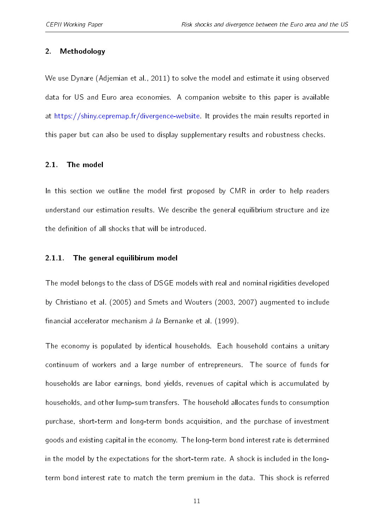#### <span id="page-10-0"></span>2. Methodology

We use Dynare [\(Adjemian et al.,](#page-35-2) [2011\)](#page-35-2) to solve the model and estimate it using observed data for US and Euro area economies. A companion website to this paper is available at [https://shiny.cepremap.fr/divergence-website.](https://shiny.cepremap.fr/divergence-website) It provides the main results reported in this paper but can also be used to display supplementary results and robustness checks.

#### 2.1. The model

In this section we outline the model first proposed by CMR in order to help readers understand our estimation results. We describe the general equilibrium structure and ize the definition of all shocks that will be introduced.

#### 2.1.1. The general equilibirum model

The model belongs to the class of DSGE models with real and nominal rigidities developed by [Christiano et al.](#page-37-5) [\(2005\)](#page-37-5) and [Smets and Wouters](#page-40-4) [\(2003,](#page-40-4) [2007\)](#page-40-5) augmented to include financial accelerator mechanism *à la* [Bernanke et al.](#page-36-0) [\(1999\)](#page-36-0).

The economy is populated by identical households. Each household contains a unitary continuum of workers and a large number of entrepreneurs. The source of funds for households are labor earnings, bond yields, revenues of capital which is accumulated by households, and other lump-sum transfers. The household allocates funds to consumption purchase, short-term and long-term bonds acquisition, and the purchase of investment goods and existing capital in the economy. The long-term bond interest rate is determined in the model by the expectations for the short-term rate. A shock is included in the longterm bond interest rate to match the term premium in the data. This shock is referred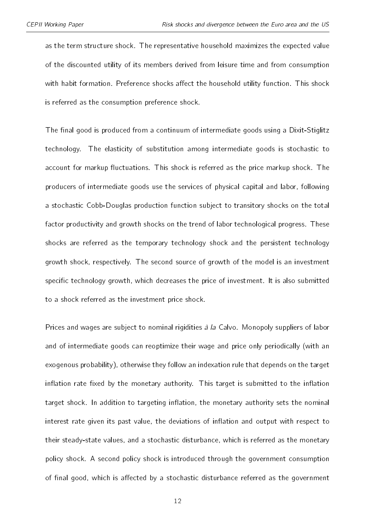as the term structure shock. The representative household maximizes the expected value of the discounted utility of its members derived from leisure time and from consumption with habit formation. Preference shocks affect the household utility function. This shock is referred as the consumption preference shock.

The final good is produced from a continuum of intermediate goods using a Dixit-Stiglitz technology. The elasticity of substitution among intermediate goods is stochastic to account for markup fluctuations. This shock is referred as the price markup shock. The producers of intermediate goods use the services of physical capital and labor, following a stochastic Cobb-Douglas production function subject to transitory shocks on the total factor productivity and growth shocks on the trend of labor technological progress. These shocks are referred as the temporary technology shock and the persistent technology growth shock, respectively. The second source of growth of the model is an investment specific technology growth, which decreases the price of investment. It is also submitted to a shock referred as the investment price shock.

Prices and wages are subject to nominal rigidities à la Calvo. Monopoly suppliers of labor and of intermediate goods can reoptimize their wage and price only periodically (with an exogenous probability), otherwise they follow an indexation rule that depends on the target inflation rate fixed by the monetary authority. This target is submitted to the inflation target shock. In addition to targeting inflation, the monetary authority sets the nominal interest rate given its past value, the deviations of inflation and output with respect to their steady-state values, and a stochastic disturbance, which is referred as the monetary policy shock. A second policy shock is introduced through the government consumption of final good, which is affected by a stochastic disturbance referred as the government

12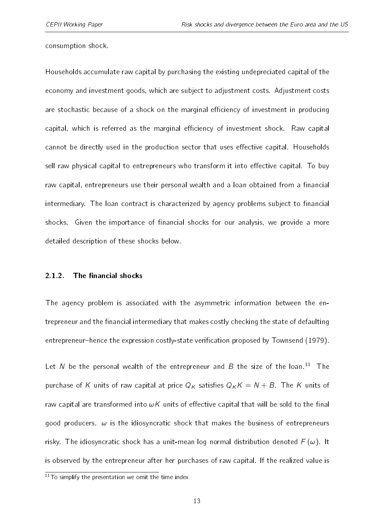consumption shock.

Households accumulate raw capital by purchasing the existing undepreciated capital of the economy and investment goods, which are subject to adjustment costs. Adjustment costs are stochastic because of a shock on the marginal efficiency of investment in producing capital, which is referred as the marginal efficiency of investment shock. Raw capital cannot be directly used in the production sector that uses effective capital. Households sell raw physical capital to entrepreneurs who transform it into effective capital. To buy raw capital, entrepreneurs use their personal wealth and a loan obtained from a financial intermediary. The loan contract is characterized by agency problems subject to financial shocks. Given the importance of financial shocks for our analysis, we provide a more detailed description of these shocks below.

#### 2.1.2. The financial shocks

The agency problem is associated with the asymmetric information between the entrepreneur and the financial intermediary that makes costly checking the state of defaulting entrepreneur-hence the expression costly-state verification proposed by [Townsend](#page-41-0) [\(1979\)](#page-41-0).

Let N be the personal wealth of the entrepreneur and B the size of the loan.<sup>[11](#page-12-0)</sup> The purchase of K units of raw capital at price  $Q_K$  satisfies  $Q_K K = N + B$ . The K units of raw capital are transformed into  $\omega K$  units of effective capital that will be sold to the final good producers.  $\omega$  is the idiosyncratic shock that makes the business of entrepreneurs risky. The idiosyncratic shock has a unit-mean log normal distribution denoted  $F(\omega)$ . It is observed by the entrepreneur after her purchases of raw capital. If the realized value is

<span id="page-12-0"></span> $11$ To simplify the presentation we omit the time index.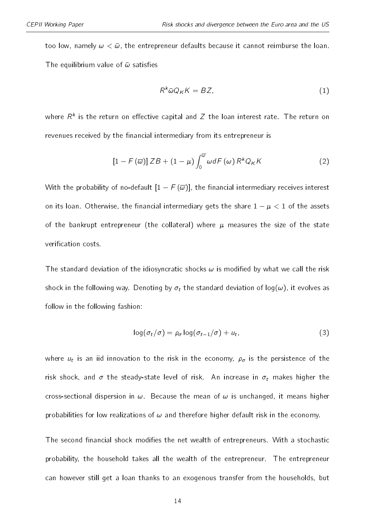too low, namely  $\omega < \bar{\omega}$ , the entrepreneur defaults because it cannot reimburse the loan. The equilibrium value of  $\bar{\omega}$  satisfies

$$
R^k \bar{\omega} Q_K K = BZ,\tag{1}
$$

where  $R^k$  is the return on effective capital and  $Z$  the loan interest rate. The return on<br>revenues received by the financial intermediary from its entrepreneur is<br> $[1 - F(\overline{\omega})] ZB + (1 - \mu) \int_{-\infty}^{\overline{\omega}} \omega dF(\omega) R^k Q_K K$  (2) revenues received by the financial intermediary from its entrepreneur is

$$
[1 - F(\overline{\omega})] ZB + (1 - \mu) \int_0^{\overline{\omega}} \omega dF(\omega) R^k Q_K K
$$
\n(2)  
\nWith the probability of no-default  $[1 - F(\overline{\omega})]$ , the financial intermediary receives interest

 $\left[1-F\left(\overline{\omega}\right)\right]ZB+\left(1-\mu\right)\int_{0}^{\omega}dF\left(\omega\right)R^{k}Q_{K}K$  (2)<br>With the probability of no-default  $\left[1-F\left(\overline{\omega}\right)\right]$ , the financial intermediary receives interest<br>on its loan. Otherwise, the financial intermediary gets the of the bankrupt entrepreneur (the collateral) where  $\mu$  measures the size of the state verification costs

The standard deviation of the idiosyncratic shocks  $\omega$  is modified by what we call the risk shock in the following way. Denoting by  $\sigma_t$  the standard deviation of log( $\omega$ ), it evolves as follow in the following fashion:

$$
\log(\sigma_t/\sigma) = \rho_\sigma \log(\sigma_{t-1}/\sigma) + u_t,\tag{3}
$$

where  $u_t$  is an iid innovation to the risk in the economy,  $\rho_\sigma$  is the persistence of the risk shock, and  $\sigma$  the steady-state level of risk. An increase in  $\sigma_t$  makes higher the cross-sectional dispersion in  $\omega$ . Because the mean of  $\omega$  is unchanged, it means higher probabilities for low realizations of  $\omega$  and therefore higher default risk in the economy.

The second financial shock modifies the net wealth of entrepreneurs. With a stochastic probability, the household takes all the wealth of the entrepreneur. The entrepreneur can however still get a loan thanks to an exogenous transfer from the households, but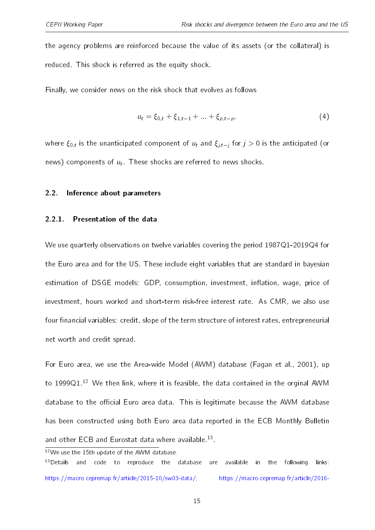the agency problems are reinforced because the value of its assets (or the collateral) is reduced. This shock is referred as the equity shock.

Finally, we consider news on the risk shock that evolves as follows

$$
u_t = \xi_{0,t} + \xi_{1,t-1} + \ldots + \xi_{p,t-p}, \tag{4}
$$

where  $\xi_{0,t}$  is the unanticipated component of  $u_t$  and  $\xi_{i,t-i}$  for  $j > 0$  is the anticipated (or news) components of  $u_t$ . These shocks are referred to news shocks.

#### <span id="page-14-0"></span>2.2. Inference about parameters

#### 2.2.1. Presentation of the data

We use quarterly observations on twelve variables covering the period 1987Q1-2019Q4 for the Euro area and for the US. These include eight variables that are standard in bayesian estimation of DSGE models: GDP, consumption, investment, inflation, wage, price of investment, hours worked and short-term risk-free interest rate. As CMR, we also use four financial variables: credit, slope of the term structure of interest rates, entrepreneurial net worth and credit spread.

For Euro area, we use the Area-wide Model (AWM) database [\(Fagan et al.,](#page-38-4) [2001\)](#page-38-4), up to 1999 $Q1^{12}$  $Q1^{12}$  $Q1^{12}$  We then link, where it is feasible, the data contained in the orginal AWM database to the official Euro area data. This is legitimate because the AWM database has been constructed using both Euro area data reported in the ECB Monthly Bulletin and other ECB and Eurostat data where available.<sup>[13](#page-14-2)</sup>.

<span id="page-14-2"></span><span id="page-14-1"></span><sup>12</sup>We use the 15th update of the AWM database.  $13$  Details and code to reproduce the database are available in the following links: [https://macro.cepremap.fr/article/2015-10/sw03-data/,](https://macro.cepremap.fr/article/2015-10/sw03-data/) [https://macro.cepremap.fr/article/2016-](https://macro.cepremap.fr/article/2016-06/cmr14-EA-data/)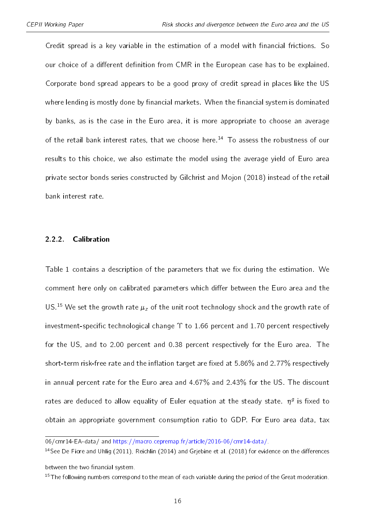Credit spread is a key variable in the estimation of a model with financial frictions. So our choice of a different definition from CMR in the European case has to be explained. [Corporate bond spread appears to be a good proxy of credit spread in places like the US](https://macro.cepremap.fr/article/2016-06/cmr14-EA-data/) where lending is mostly done by financial markets. When the financial system is dominated [by banks, as is the case in the Euro area, it is more appropriate to choose an average](https://macro.cepremap.fr/article/2016-06/cmr14-EA-data/) [of the retail bank interest rates, that we choose here.](https://macro.cepremap.fr/article/2016-06/cmr14-EA-data/)<sup>[14](#page-15-0)</sup> To assess the robustness of our [results to this choice, we also estimate the model using the average yield of Euro area](https://macro.cepremap.fr/article/2016-06/cmr14-EA-data/) [private sector bonds series constructed by](https://macro.cepremap.fr/article/2016-06/cmr14-EA-data/) [Gilchrist and Mojon](#page-38-5) [\(2018\)](#page-38-5) instead of the retail [bank interest rate.](https://macro.cepremap.fr/article/2016-06/cmr14-EA-data/)

#### 2.2.2. [Calibration](https://macro.cepremap.fr/article/2016-06/cmr14-EA-data/)

Table [1](#page-16-0) contains a description of the parameters that we fix during the estimation. We comment here only on calibrated parameters which differ between the Euro area and the US.<sup>[15](#page-15-1)</sup> We set the growth rate  $\mu_z$  [of the unit root technology shock and the growth rate of](https://macro.cepremap.fr/article/2016-06/cmr14-EA-data/) investment-specific technological change  $\Upsilon$  [to 1.66 percent and 1.70 percent respectively](https://macro.cepremap.fr/article/2016-06/cmr14-EA-data/) [for the US, and to 2.00 percent and 0.38 percent respectively for the Euro area. The](https://macro.cepremap.fr/article/2016-06/cmr14-EA-data/) short-term risk-free rate and the inflation target are fixed at 5.86% and 2.77% respectively [in annual percent rate for the Euro area and 4.67% and 2.43% for the US. The discount](https://macro.cepremap.fr/article/2016-06/cmr14-EA-data/) [rates are deduced to allow equality of Euler equation at the steady state.](https://macro.cepremap.fr/article/2016-06/cmr14-EA-data/)  $\eta^g$  is fixed to [obtain an appropriate government consumption ratio to GDP. For Euro area data, tax](https://macro.cepremap.fr/article/2016-06/cmr14-EA-data/)

<span id="page-15-0"></span>[<sup>06/</sup>cmr14-EA-data/](https://macro.cepremap.fr/article/2016-06/cmr14-EA-data/) and [https://macro.cepremap.fr/article/2016-06/cmr14-data/.](https://macro.cepremap.fr/article/2016-06/cmr14-data/)

<sup>&</sup>lt;sup>14</sup>See [De Fiore and Uhlig](#page-37-6) [\(2011\)](#page-37-6), [Reichlin](#page-40-6) [\(2014\)](#page-40-6) and Griebine et al. [\(2018\)](#page-38-6) for evidence on the differences between the two financial system.

<span id="page-15-1"></span> $15$ The following numbers correspond to the mean of each variable during the period of the Great moderation.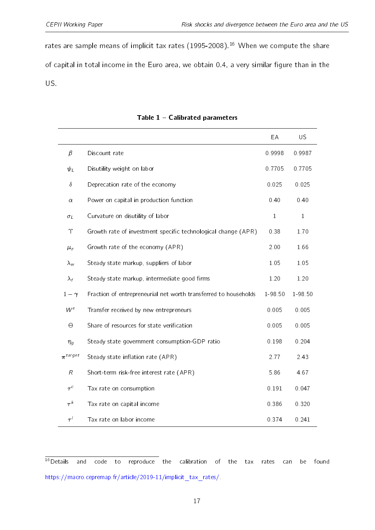rates are sample means of implicit tax rates  $(1995-2008).$ <sup>[16](#page-16-1)</sup> When we compute the share of capital in total income in the Euro area, we obtain 0.4, a very similar figure than in the US.

<span id="page-16-0"></span>

|                |                                                                 | EA           | <b>US</b>    |
|----------------|-----------------------------------------------------------------|--------------|--------------|
| $\beta$        | Discount rate                                                   | 0.9998       | 0.9987       |
| $\psi_L$       | Disutility weight on labor                                      | 0.7705       | 0.7705       |
| $\delta$       | Deprecation rate of the economy                                 | 0.025        | 0.025        |
| $\alpha$       | Power on capital in production function                         | 0.40         | 0.40         |
| $\sigma_L$     | Curvature on disutility of labor                                | $\mathbf{1}$ | $\mathbf{1}$ |
| $\Upsilon$     | Growth rate of investment specific technological change (APR)   | 0.38         | 1.70         |
| $\mu_{z}$      | Growth rate of the economy (APR)                                | 2.00         | 1.66         |
| $\lambda_{w}$  | Steady state markup, suppliers of labor                         | 1.05         | 1.05         |
| $\lambda_f$    | Steady state markup, intermediate good firms                    | 1.20         | 1.20         |
| $1-\gamma$     | Fraction of entrepreneurial net worth transferred to households | 1-98.50      | 1-98.50      |
| $W^e$          | Transfer received by new entrepreneurs                          | 0.005        | 0.005        |
| $\Theta$       | Share of resources for state verification                       | 0.005        | 0.005        |
| $\eta_g$       | Steady state government consumption-GDP ratio                   | 0.198        | 0.204        |
| $\pi^{target}$ | Steady state inflation rate (APR)                               | 2.77         | 2.43         |
| $\cal R$       | Short-term risk-free interest rate (APR)                        | 5.86         | 4.67         |
| $\tau^c$       | Tax rate on consumption                                         | 0.191        | 0.047        |
| $\tau^{k}$     | Tax rate on capital income                                      | 0.386        | 0.320        |
| $\tau'$        | Tax rate on labor income                                        | 0.374        | 0.241        |

#### Table  $1 -$  Calibrated parameters

<span id="page-16-1"></span> $16$  Details and code to reproduce the calibration of the tax rates can be found [https://macro.cepremap.fr/article/2019-11/implicit\\_tax\\_rates/.](https://macro.cepremap.fr/article/2019-11/implicit_tax_rates/)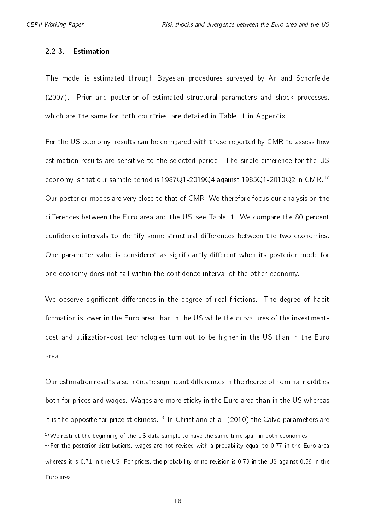#### 2.2.3. Estimation

The model is estimated through Bayesian procedures surveyed by [An and Schorfeide](#page-35-3) [\(2007\)](#page-35-3). Prior and posterior of estimated structural parameters and shock processes, which are the same for both countries, are detailed in Table [.1](#page-44-0) in Appendix.

For the US economy, results can be compared with those reported by CMR to assess how estimation results are sensitive to the selected period. The single difference for the US economy is that our sample period is 1987Q1-2019Q4 against 1985Q1-2010Q2 in CMR.[17](#page-17-0) Our posterior modes are very close to that of CMR. We therefore focus our analysis on the differences between the Euro area and the US-see Table [.1.](#page-44-0) We compare the 80 percent confidence intervals to identify some structural differences between the two economies. One parameter value is considered as significantly different when its posterior mode for one economy does not fall within the confidence interval of the other economy.

We observe significant differences in the degree of real frictions. The degree of habit formation is lower in the Euro area than in the US while the curvatures of the investmentcost and utilization-cost technologies turn out to be higher in the US than in the Euro area.

Our estimation results also indicate significant differences in the degree of nominal rigidities both for prices and wages. Wages are more sticky in the Euro area than in the US whereas it is the opposite for price stickiness.<sup>[18](#page-17-1)</sup> In [Christiano et al.](#page-36-4) [\(2010\)](#page-36-4) the Calvo parameters are

Euro area.

<span id="page-17-1"></span><span id="page-17-0"></span> $17$ We restrict the beginning of the US data sample to have the same time span in both economies.  $18$ For the posterior distributions, wages are not revised with a probability equal to 0.77 in the Euro area whereas it is 0.71 in the US. For prices, the probability of no-revision is 0.79 in the US against 0.59 in the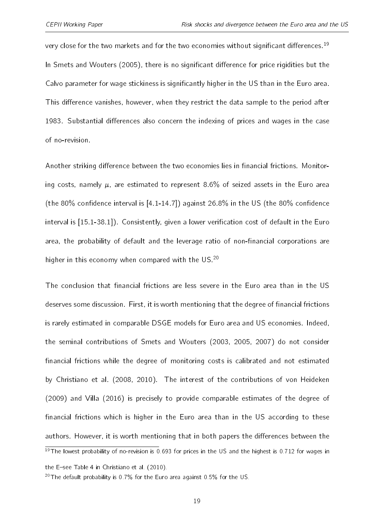very close for the two markets and for the two economies without significant differences.<sup>[19](#page-18-0)</sup> In [Smets and Wouters](#page-40-2) [\(2005\)](#page-40-2), there is no significant difference for price rigidities but the Calvo parameter for wage stickiness is significantly higher in the US than in the Euro area. This difference vanishes, however, when they restrict the data sample to the period after 1983. Substantial differences also concern the indexing of prices and wages in the case of no-revision.

Another striking difference between the two economies lies in financial frictions. Monitoring costs, namely  $\mu$ , are estimated to represent 8.6% of seized assets in the Euro area (the 80% confidence interval is  $[4.1-14.7]$ ) against 26.8% in the US (the 80% confidence interval is  $[15.1-38.1]$ ). Consistently, given a lower verification cost of default in the Euro area, the probability of default and the leverage ratio of non-financial corporations are higher in this economy when compared with the US.<sup>[20](#page-18-1)</sup>

The conclusion that financial frictions are less severe in the Euro area than in the US deserves some discussion. First, it is worth mentioning that the degree of financial frictions is rarely estimated in comparable DSGE models for Euro area and US economies. Indeed, the seminal contributions of [Smets and Wouters](#page-40-4) [\(2003,](#page-40-4) [2005,](#page-40-2) [2007\)](#page-40-5) do not consider financial frictions while the degree of monitoring costs is calibrated and not estimated by [Christiano et al.](#page-36-6) [\(2008,](#page-36-6) [2010\)](#page-36-4). The interest of the contributions of [von Heideken](#page-41-2) [\(2009\)](#page-41-2) and [Villa](#page-41-1) [\(2016\)](#page-41-1) is precisely to provide comparable estimates of the degree of financial frictions which is higher in the Euro area than in the US according to these authors. However, it is worth mentioning that in both papers the differences between the <sup>19</sup>The lowest probability of no-revision is 0.693 for prices in the US and the highest is 0.712 for wages in

<span id="page-18-1"></span><span id="page-18-0"></span>the E-see Table 4 in [Christiano et al.](#page-36-4) [\(2010\)](#page-36-4).

<sup>&</sup>lt;sup>20</sup>The default probability is 0.7% for the Euro area against 0.5% for the US.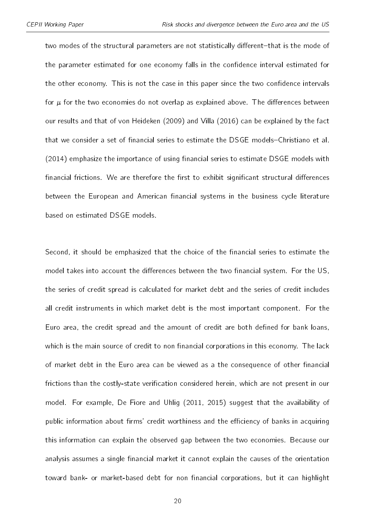two modes of the structural parameters are not statistically different-that is the mode of the parameter estimated for one economy falls in the confidence interval estimated for the other economy. This is not the case in this paper since the two confidence intervals for  $\mu$  for the two economies do not overlap as explained above. The differences between our results and that of [von Heideken](#page-41-2) [\(2009\)](#page-41-2) and [Villa](#page-41-1) [\(2016\)](#page-41-1) can be explained by the fact that we consider a set of financial series to estimate the DSGE models-[Christiano et al.](#page-37-0)  $(2014)$  emphasize the importance of using financial series to estimate DSGE models with financial frictions. We are therefore the first to exhibit significant structural differences between the European and American financial systems in the business cycle literature based on estimated DSGE models.

Second, it should be emphasized that the choice of the financial series to estimate the model takes into account the differences between the two financial system. For the US, the series of credit spread is calculated for market debt and the series of credit includes all credit instruments in which market debt is the most important component. For the Euro area, the credit spread and the amount of credit are both defined for bank loans, which is the main source of credit to non financial corporations in this economy. The lack of market debt in the Euro area can be viewed as a the consequence of other financial frictions than the costly-state verification considered herein, which are not present in our model. For example, [De Fiore and Uhlig](#page-37-6) [\(2011,](#page-37-6) [2015\)](#page-37-7) suggest that the availability of public information about firms' credit worthiness and the efficiency of banks in acquiring this information can explain the observed gap between the two economies. Because our analysis assumes a single financial market it cannot explain the causes of the orientation toward bank- or market-based debt for non financial corporations, but it can highlight

20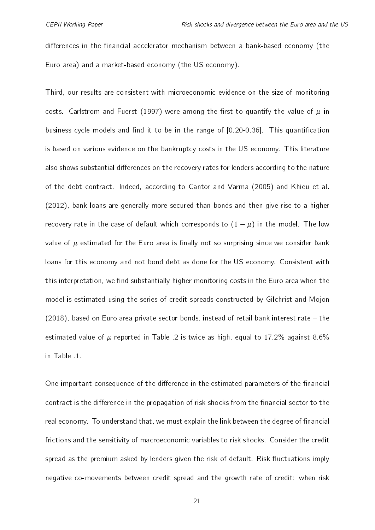differences in the financial accelerator mechanism between a bank-based economy (the Euro area) and a market-based economy (the US economy).

Third, our results are consistent with microeconomic evidence on the size of monitoring costs. [Carlstrom and Fuerst](#page-36-7) [\(1997\)](#page-36-7) were among the first to quantify the value of  $\mu$  in business cycle models and find it to be in the range of  $[0.20-0.36]$ . This quantification is based on various evidence on the bankruptcy costs in the US economy. This literature also shows substantial differences on the recovery rates for lenders according to the nature of the debt contract. Indeed, according to [Cantor and Varma](#page-36-8) [\(2005\)](#page-36-8) and [Khieu et al.](#page-39-5) [\(2012\)](#page-39-5), bank loans are generally more secured than bonds and then give rise to a higher of the debt contract. Indeed, according to Cantor and Varma (2005) and Khieu et al.<br>(2012), bank loans are generally more secured than bonds and then give rise to a higher<br>recovery rate in the case of default which corres value of  $\mu$  estimated for the Euro area is finally not so surprising since we consider bank loans for this economy and not bond debt as done for the US economy. Consistent with this interpretation, we find substantially higher monitoring costs in the Euro area when the model is estimated using the series of credit spreads constructed by [Gilchrist and Mojon](#page-38-5)  $(2018)$ , based on Euro area private sector bonds, instead of retail bank interest rate  $-$  the estimated value of  $\mu$  reported in Table [.2](#page-45-0) is twice as high, equal to 17.2% against 8.6% in Table [.1.](#page-44-0)

One important consequence of the difference in the estimated parameters of the financial contract is the difference in the propagation of risk shocks from the financial sector to the real economy. To understand that, we must explain the link between the degree of financial frictions and the sensitivity of macroeconomic variables to risk shocks. Consider the credit spread as the premium asked by lenders given the risk of default. Risk fluctuations imply negative co-movements between credit spread and the growth rate of credit: when risk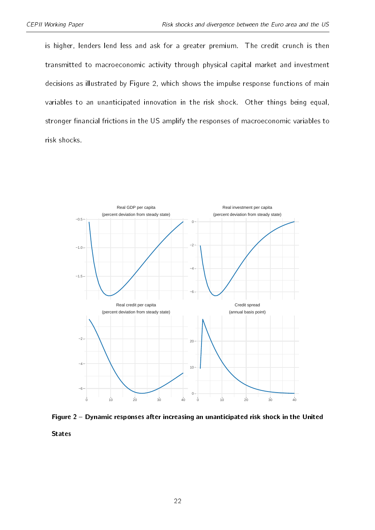is higher, lenders lend less and ask for a greater premium. The credit crunch is then transmitted to macroeconomic activity through physical capital market and investment decisions as illustrated by Figure [2,](#page-21-0) which shows the impulse response functions of main variables to an unanticipated innovation in the risk shock. Other things being equal, stronger financial frictions in the US amplify the responses of macroeconomic variables to risk shocks.

<span id="page-21-0"></span>

Figure 2 - Dynamic responses after increasing an unanticipated risk shock in the United

States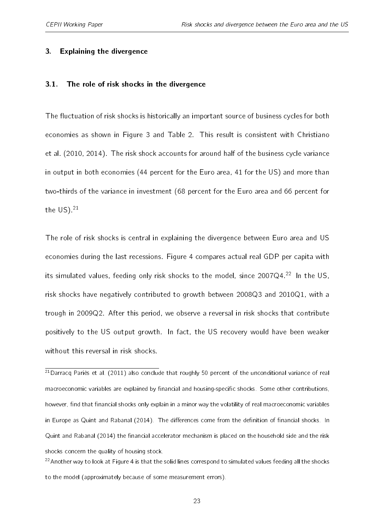#### <span id="page-22-0"></span>3. Explaining the divergence

#### 3.1. The role of risk shocks in the divergence

The fluctuation of risk shocks is historically an important source of business cycles for both economies as shown in Figure [3](#page-24-0) and Table [2.](#page-23-0) This result is consistent with [Christiano](#page-36-4) [et al.](#page-36-4) [\(2010,](#page-36-4) [2014\)](#page-37-0). The risk shock accounts for around half of the business cycle variance in output in both economies (44 percent for the Euro area, 41 for the US) and more than two-thirds of the variance in investment (68 percent for the Euro area and 66 percent for the  $US)$ .<sup>[21](#page-22-1)</sup>

The role of risk shocks is central in explaining the divergence between Euro area and US economies during the last recessions. Figure [4](#page-25-0) compares actual real GDP per capita with its simulated values, feeding only risk shocks to the model, since  $2007Q4.<sup>22</sup>$  $2007Q4.<sup>22</sup>$  $2007Q4.<sup>22</sup>$  In the US, risk shocks have negatively contributed to growth between 2008Q3 and 2010Q1, with a trough in 2009Q2. After this period, we observe a reversal in risk shocks that contribute positively to the US output growth. In fact, the US recovery would have been weaker without this reversal in risk shocks.

<span id="page-22-1"></span> $^{21}$ [Darracq Pariès et al.](#page-37-3) [\(2011\)](#page-37-3) also conclude that roughly 50 percent of the unconditional variance of real macroeconomic variables are explained by financial and housing-specific shocks. Some other contributions, however, find that financial shocks only explain in a minor way the volatility of real macroeconomic variables in Europe as [Quint and Rabanal](#page-39-6) [\(2014\)](#page-39-6). The differences come from the definition of financial shocks. In [Quint and Rabanal](#page-39-6) [\(2014\)](#page-39-6) the financial accelerator mechanism is placed on the household side and the risk shocks concern the quality of housing stock.

<span id="page-22-2"></span> $22$ Another way to look at Figure [4](#page-25-0) is that the solid lines correspond to simulated values feeding all the shocks to the model (approximately because of some measurement errors).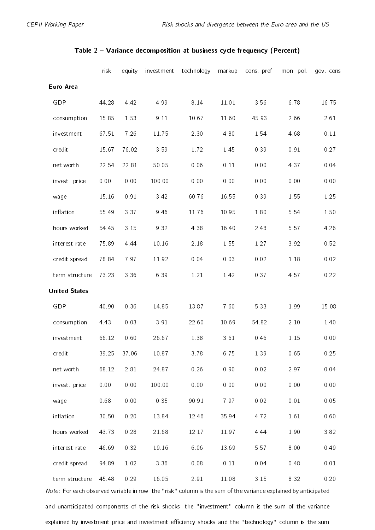<span id="page-23-0"></span>

|                      | risk     | equity   | investment | technology | markup | cons pref. | mon. pol. | gov cons |
|----------------------|----------|----------|------------|------------|--------|------------|-----------|----------|
| <b>Euro Area</b>     |          |          |            |            |        |            |           |          |
| <b>GDP</b>           | 44.28    | 4.42     | 4.99       | 8.14       | 11.01  | 3.56       | 6.78      | 16.75    |
| consumption          | 15.85    | 1.53     | 9 1 1      | 10.67      | 11.60  | 45.93      | 2.66      | 2.61     |
| investment           | 67.51    | 7.26     | 11.75      | 2.30       | 4.80   | 1.54       | 4.68      | 0.11     |
| credit               | 15.67    | 76.02    | 3.59       | 1.72       | 1.45   | 0.39       | 0.91      | 0.27     |
| net worth            | 22.54    | 22.81    | 50.05      | 0.06       | 0.11   | 0.00       | 4.37      | 0.04     |
| invest price         | 0.00     | 0.00     | 100.00     | 0.00       | 0.00   | 0.00       | 0.00      | 0.00     |
| wage                 | 15.16    | 0.91     | 3.42       | 60.76      | 16.55  | 0.39       | 1.55      | 1.25     |
| inflation            | 55.49    | 3 3 7    | 9.46       | 11.76      | 10.95  | $1.80\,$   | 5.54      | 1.50     |
| hours worked         | 54.45    | 3 15     | 9.32       | 4 3 8      | 16.40  | 2.43       | 5 5 7     | 4.26     |
| interest rate        | 75.89    | 4 4 4    | 10.16      | 2.18       | 1.55   | 1.27       | 3.92      | 0.52     |
| credit spread        | 78.84    | 7 97     | 11.92      | 0.04       | 0.03   | 0.02       | $1.18\,$  | 0.02     |
| term structure       | 73.23    | 3 3 6    | 6.39       | 1.21       | 1.42   | 037        | 4.57      | 0.22     |
| <b>United States</b> |          |          |            |            |        |            |           |          |
| <b>GDP</b>           | 40.90    | 0.36     | 14.85      | 1387       | 7.60   | 5 3 3      | 1.99      | 15.08    |
| consumption          | 4.43     | 0.03     | 3.91       | 22.60      | 10.69  | 54.82      | $2.10\,$  | 1.40     |
| investment           | 66.12    | 0.60     | 26 67      | 1.38       | 361    | 0.46       | 1.15      | 0.00     |
| credit               | 39.25    | 37.06    | 10.87      | 3.78       | 6.75   | 1.39       | 0.65      | 0.25     |
| net worth            | 68.12    | 2.81     | 24 87      | 0.26       | 0.90   | 0.02       | 2.97      | 0.04     |
| invest price         | $0.00\,$ | $0.00\,$ | 100.00     | $0\ 00$    | 0.00   | $0\ 00$    | 0.00      | 0.00     |
| wage                 | 0.68     | $0.00\,$ | 0.35       | 90.91      | 797    | 0.02       | $0.01\,$  | 0.05     |
| inflation            | 30.50    | 0.20     | 13.84      | 12.46      | 35.94  | 4.72       | 1.61      | 0.60     |
| hours worked         | 43.73    | 0.28     | 21.68      | 12.17      | 11.97  | 4 4 4      | 1.90      | 3.82     |
| interest rate        | 46.69    | 0.32     | 19.16      | 6.06       | 13.69  | 5 5 7      | 8.00      | 0.49     |
| credit spread        | 94.89    | 1.02     | 3.36       | 0.08       | 0.11   | 0.04       | 0.48      | 0.01     |
| term structure       | 45.48    | 0.29     | 16.05      | 2.91       | 11.08  | $3.15$     | 8.32      | 0.20     |

#### Table 2 Variance decomposition at business cycle frequency (Percent)

Note: For each observed variable in row, the "risk" column is the sum of the variance explained by anticipated and unanticipated components of the risk shocks, the "investment" column is the sum of the variance explained by investment price and investment efficiency shocks and the "technology" column is the sum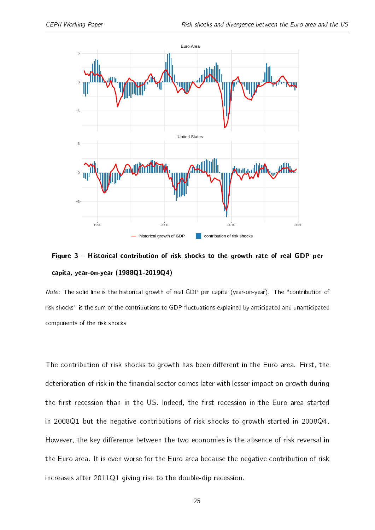<span id="page-24-0"></span>

## Figure 3 - Historical contribution of risk shocks to the growth rate of real GDP per capita, year-on-year (1988Q1-2019Q4)

Note: The solid line is the historical growth of real GDP per capita (year-on-year). The "contribution of risk shocks" is the sum of the contributions to GDP fluctuations explained by anticipated and unanticipated components of the risk shocks.

The contribution of risk shocks to growth has been different in the Euro area. First, the deterioration of risk in the financial sector comes later with lesser impact on growth during the first recession than in the US. Indeed, the first recession in the Euro area started in 2008Q1 but the negative contributions of risk shocks to growth started in 2008Q4. However, the key difference between the two economies is the absence of risk reversal in the Euro area. It is even worse for the Euro area because the negative contribution of risk increases after 2011Q1 giving rise to the double-dip recession.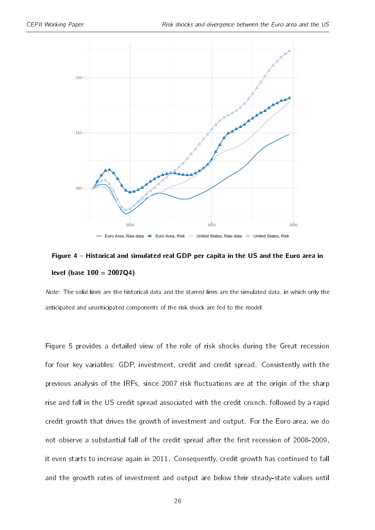<span id="page-25-0"></span>

## Figure 4 – Historical and simulated real GDP per capita in the US and the Euro area in level (base  $100 = 2007Q4$ )

Note: The solid lines are the historical data and the starred lines are the simulated data, in which only the anticipated and unanticipated components of the risk shock are fed to the model.

Figure [5](#page-26-0) provides a detailed view of the role of risk shocks during the Great recession for four key variables: GDP, investment, credit and credit spread. Consistently with the previous analysis of the IRFs, since 2007 risk fluctuations are at the origin of the sharp rise and fall in the US credit spread associated with the credit crunch, followed by a rapid credit growth that drives the growth of investment and output. For the Euro area, we do not observe a substantial fall of the credit spread after the first recession of 2008-2009, it even starts to increase again in 2011. Consequently, credit growth has continued to fall and the growth rates of investment and output are below their steady-state values until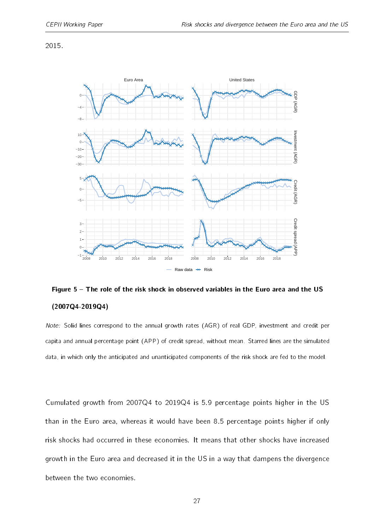2015.

<span id="page-26-0"></span>

## Figure 5 - The role of the risk shock in observed variables in the Euro area and the US (2007Q4-2019Q4)

Note: Solid lines correspond to the annual growth rates (AGR) of real GDP, investment and credit per capita and annual percentage point (APP) of credit spread, without mean. Starred lines are the simulated data, in which only the anticipated and unanticipated components of the risk shock are fed to the model.

Cumulated growth from 2007Q4 to 2019Q4 is 5.9 percentage points higher in the US than in the Euro area, whereas it would have been 8.5 percentage points higher if only risk shocks had occurred in these economies. It means that other shocks have increased growth in the Euro area and decreased it in the US in a way that dampens the divergence between the two economies.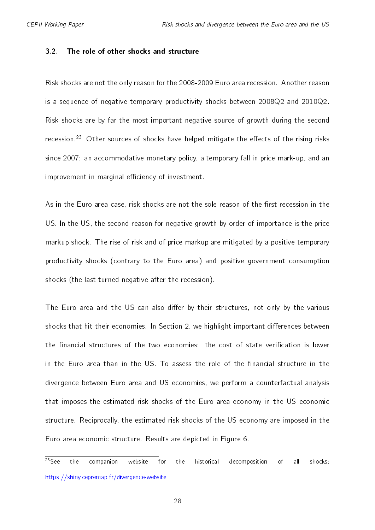#### 3.2. The role of other shocks and structure

Risk shocks are not the only reason for the 2008-2009 Euro area recession. Another reason is a sequence of negative temporary productivity shocks between 2008Q2 and 2010Q2. Risk shocks are by far the most important negative source of growth during the second recession.<sup>[23](#page-27-0)</sup> Other sources of shocks have helped mitigate the effects of the rising risks since 2007: an accommodative monetary policy, a temporary fall in price mark-up, and an improvement in marginal efficiency of investment.

As in the Euro area case, risk shocks are not the sole reason of the first recession in the US. In the US, the second reason for negative growth by order of importance is the price markup shock. The rise of risk and of price markup are mitigated by a positive temporary productivity shocks (contrary to the Euro area) and positive government consumption shocks (the last turned negative after the recession).

The Euro area and the US can also differ by their structures, not only by the various shocks that hit their economies. In Section [2,](#page-10-0) we highlight important differences between the financial structures of the two economies: the cost of state verification is lower in the Euro area than in the US. To assess the role of the financial structure in the divergence between Euro area and US economies, we perform a counterfactual analysis that imposes the estimated risk shocks of the Euro area economy in the US economic structure. Reciprocally, the estimated risk shocks of the US economy are imposed in the Euro area economic structure. Results are depicted in Figure [6.](#page-28-0)

<span id="page-27-0"></span> $\overline{^{23}$ See the companion website for the historical decomposition of all shocks: [https://shiny.cepremap.fr/divergence-website.](https://shiny.cepremap.fr/divergence-website)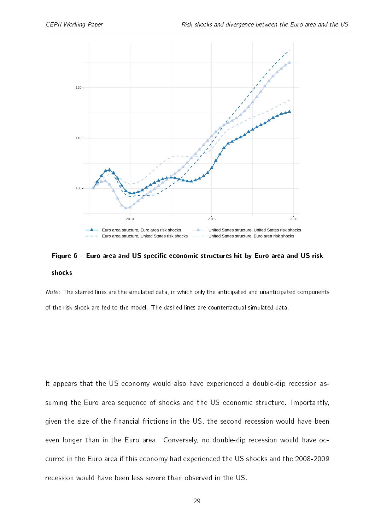<span id="page-28-0"></span>

## Figure  $6$  – Euro area and US specific economic structures hit by Euro area and US risk shocks

Note: The starred lines are the simulated data, in which only the anticipated and unanticipated components of the risk shock are fed to the model. The dashed lines are counterfactual simulated data.

It appears that the US economy would also have experienced a double-dip recession assuming the Euro area sequence of shocks and the US economic structure. Importantly, given the size of the financial frictions in the US, the second recession would have been even longer than in the Euro area. Conversely, no double-dip recession would have occurred in the Euro area if this economy had experienced the US shocks and the 2008-2009 recession would have been less severe than observed in the US.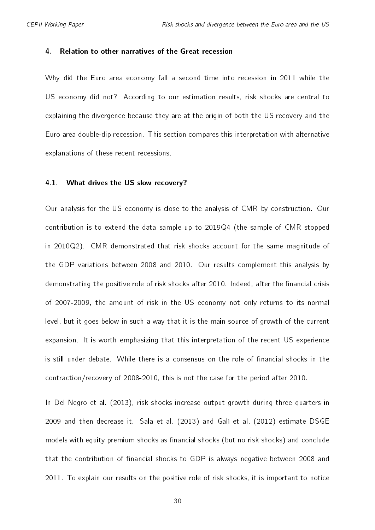#### <span id="page-29-0"></span>4. Relation to other narratives of the Great recession

Why did the Euro area economy fall a second time into recession in 2011 while the US economy did not? According to our estimation results, risk shocks are central to explaining the divergence because they are at the origin of both the US recovery and the Euro area double-dip recession. This section compares this interpretation with alternative explanations of these recent recessions.

#### 4.1. What drives the US slow recovery?

Our analysis for the US economy is close to the analysis of CMR by construction. Our contribution is to extend the data sample up to 2019Q4 (the sample of CMR stopped in 2010Q2). CMR demonstrated that risk shocks account for the same magnitude of the GDP variations between 2008 and 2010. Our results complement this analysis by demonstrating the positive role of risk shocks after 2010. Indeed, after the financial crisis of 2007-2009, the amount of risk in the US economy not only returns to its normal level, but it goes below in such a way that it is the main source of growth of the current expansion. It is worth emphasizing that this interpretation of the recent US experience is still under debate. While there is a consensus on the role of financial shocks in the contraction/recovery of 2008-2010, this is not the case for the period after 2010.

In [Del Negro et al.](#page-37-1) [\(2013\)](#page-37-1), risk shocks increase output growth during three quarters in 2009 and then decrease it. [Sala et al.](#page-40-3) [\(2013\)](#page-40-3) and [Galí et al.](#page-38-0) [\(2012\)](#page-38-0) estimate DSGE models with equity premium shocks as financial shocks (but no risk shocks) and conclude that the contribution of financial shocks to GDP is always negative between 2008 and 2011. To explain our results on the positive role of risk shocks, it is important to notice

30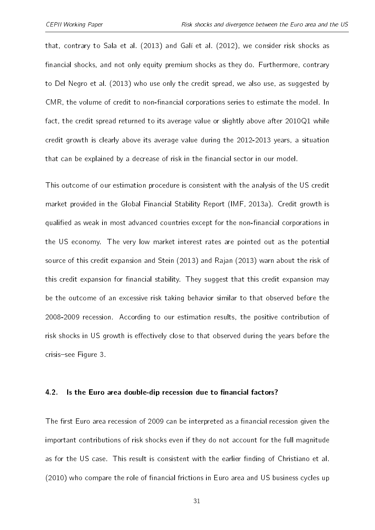that, contrary to [Sala et al.](#page-40-3) [\(2013\)](#page-40-3) and [Galí et al.](#page-38-0) [\(2012\)](#page-38-0), we consider risk shocks as financial shocks, and not only equity premium shocks as they do. Furthermore, contrary to [Del Negro et al.](#page-37-1) [\(2013\)](#page-37-1) who use only the credit spread, we also use, as suggested by CMR, the volume of credit to non-financial corporations series to estimate the model. In fact, the credit spread returned to its average value or slightly above after 2010Q1 while credit growth is clearly above its average value during the 2012-2013 years, a situation that can be explained by a decrease of risk in the financial sector in our model.

This outcome of our estimation procedure is consistent with the analysis of the US credit market provided in the Global Financial Stability Report [\(IMF,](#page-38-7) [2013a\)](#page-38-7). Credit growth is qualified as weak in most advanced countries except for the non-financial corporations in the US economy. The very low market interest rates are pointed out as the potential source of this credit expansion and [Stein](#page-40-7) [\(2013\)](#page-40-7) and [Rajan](#page-40-8) [\(2013\)](#page-40-8) warn about the risk of this credit expansion for financial stability. They suggest that this credit expansion may be the outcome of an excessive risk taking behavior similar to that observed before the 2008-2009 recession. According to our estimation results, the positive contribution of risk shocks in US growth is effectively close to that observed during the years before the crisis-see Figure [3.](#page-24-0)

#### 4.2. Is the Euro area double-dip recession due to financial factors?

The first Euro area recession of 2009 can be interpreted as a financial recession given the important contributions of risk shocks even if they do not account for the full magnitude as for the US case. This result is consistent with the earlier finding of [Christiano et al.](#page-36-4) [\(2010\)](#page-36-4) who compare the role of financial frictions in Euro area and US business cycles up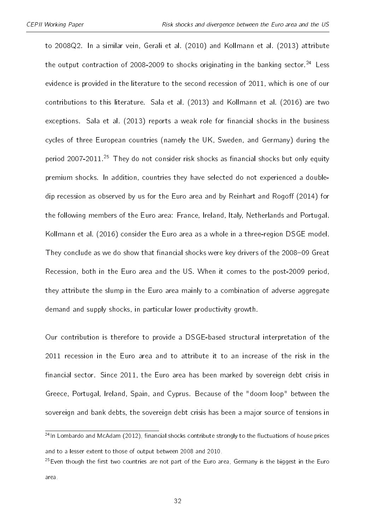to 2008Q2. In a similar vein, [Gerali et al.](#page-38-8) [\(2010\)](#page-38-8) and [Kollmann et al.](#page-39-3) [\(2013\)](#page-39-3) attribute the output contraction of 2008-2009 to shocks originating in the banking sector.<sup>[24](#page-31-0)</sup> Less evidence is provided in the literature to the second recession of 2011, which is one of our contributions to this literature. [Sala et al.](#page-40-3) [\(2013\)](#page-40-3) and [Kollmann et al.](#page-39-7) [\(2016\)](#page-39-7) are two exceptions. [Sala et al.](#page-40-3) [\(2013\)](#page-40-3) reports a weak role for financial shocks in the business cycles of three European countries (namely the UK, Sweden, and Germany) during the period 2007-2011.<sup>[25](#page-31-1)</sup> They do not consider risk shocks as financial shocks but only equity premium shocks. In addition, countries they have selected do not experienced a double-dip recession as observed by us for the Euro area and by [Reinhart and Rogo](#page-40-1)ff [\(2014\)](#page-40-1) for the following members of the Euro area: France, Ireland, Italy, Netherlands and Portugal. [Kollmann et al.](#page-39-7) [\(2016\)](#page-39-7) consider the Euro area as a whole in a three-region DSGE model. They conclude as we do show that financial shocks were key drivers of the 2008-09 Great Recession, both in the Euro area and the US. When it comes to the post-2009 period, they attribute the slump in the Euro area mainly to a combination of adverse aggregate demand and supply shocks, in particular lower productivity growth.

Our contribution is therefore to provide a DSGE-based structural interpretation of the 2011 recession in the Euro area and to attribute it to an increase of the risk in the financial sector. Since 2011, the Euro area has been marked by sovereign debt crisis in Greece, Portugal, Ireland, Spain, and Cyprus. Because of the "doom loop" between the sovereign and bank debts, the sovereign debt crisis has been a major source of tensions in

32

<span id="page-31-0"></span> $24$ In [Lombardo and McAdam](#page-39-2) [\(2012\)](#page-39-2), financial shocks contribute strongly to the fluctuations of house prices and to a lesser extent to those of output between 2008 and 2010.

<span id="page-31-1"></span> $25$ Even though the first two countries are not part of the Euro area, Germany is the biggest in the Euro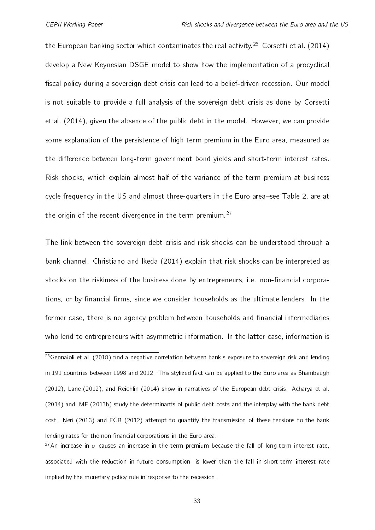the European banking sector which contaminates the real activity.<sup>[26](#page-32-0)</sup> [Corsetti et al.](#page-37-8) [\(2014\)](#page-37-8) develop a New Keynesian DSGE model to show how the implementation of a procyclical fiscal policy during a sovereign debt crisis can lead to a belief-driven recession. Our model is not suitable to provide a full analysis of the sovereign debt crisis as done by [Corsetti](#page-37-8) [et al.](#page-37-8) [\(2014\)](#page-37-8), given the absence of the public debt in the model. However, we can provide some explanation of the persistence of high term premium in the Euro area, measured as the difference between long-term government bond yields and short-term interest rates. Risk shocks, which explain almost half of the variance of the term premium at business cycle frequency in the US and almost three-quarters in the Euro area-see Table [2,](#page-23-0) are at the origin of the recent divergence in the term premium.<sup>[27](#page-32-1)</sup>

The link between the sovereign debt crisis and risk shocks can be understood through a bank channel. [Christiano and Ikeda](#page-36-9) [\(2014\)](#page-36-9) explain that risk shocks can be interpreted as shocks on the riskiness of the business done by entrepreneurs, i.e. non-financial corporations, or by financial firms, since we consider households as the ultimate lenders. In the former case, there is no agency problem between households and financial intermediaries who lend to entrepreneurs with asymmetric information. In the latter case, information is

<span id="page-32-0"></span><sup>&</sup>lt;sup>26</sup>[Gennaioli et al.](#page-38-9) [\(2018\)](#page-38-9) find a negative correlation between bank's exposure to sovereign risk and lending in 191 countries between 1998 and 2012. This stylized fact can be applied to the Euro area as [Shambaugh](#page-40-9) [\(2012\)](#page-40-9), [Lane](#page-39-8) [\(2012\)](#page-39-8), and [Reichlin](#page-40-6) [\(2014\)](#page-40-6) show in narratives of the European debt crisis. [Acharya et al.](#page-35-4) [\(2014\)](#page-35-4) and [IMF](#page-38-10) [\(2013b\)](#page-38-10) study the determinants of public debt costs and the interplay with the bank debt cost. [Neri](#page-39-9) [\(2013\)](#page-39-9) and [ECB](#page-38-11) [\(2012\)](#page-38-11) attempt to quantify the transmission of these tensions to the bank lending rates for the non financial corporations in the Euro area.

<span id="page-32-1"></span><sup>&</sup>lt;sup>27</sup>An increase in  $\sigma$  causes an increase in the term premium because the fall of long-term interest rate, associated with the reduction in future consumption, is lower than the fall in short-term interest rate implied by the monetary policy rule in response to the recession.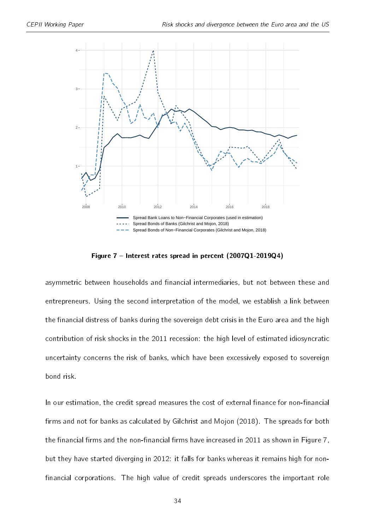<span id="page-33-0"></span>

Figure 7 - Interest rates spread in percent (2007Q1-2019Q4)

asymmetric between households and financial intermediaries, but not between these and entrepreneurs. Using the second interpretation of the model, we establish a link between the financial distress of banks during the sovereign debt crisis in the Euro area and the high contribution of risk shocks in the 2011 recession: the high level of estimated idiosyncratic uncertainty concerns the risk of banks, which have been excessively exposed to sovereign bond risk.

In our estimation, the credit spread measures the cost of external finance for non-financial firms and not for banks as calculated by [Gilchrist and Mojon](#page-38-5) [\(2018\)](#page-38-5). The spreads for both the financial firms and the non-financial firms have increased in 2011 as shown in Figure [7,](#page-33-0) but they have started diverging in 2012: it falls for banks whereas it remains high for non financial corporations. The high value of credit spreads underscores the important role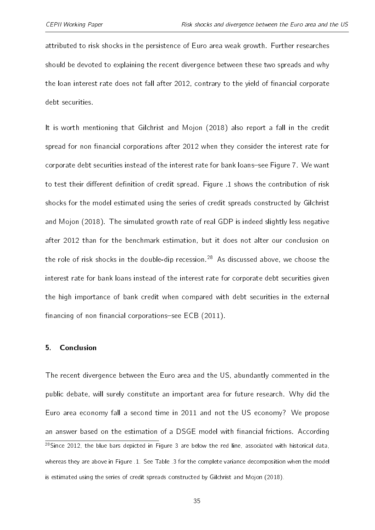attributed to risk shocks in the persistence of Euro area weak growth. Further researches should be devoted to explaining the recent divergence between these two spreads and why the loan interest rate does not fall after 2012, contrary to the yield of financial corporate debt securities.

It is worth mentioning that [Gilchrist and Mojon](#page-38-5) [\(2018\)](#page-38-5) also report a fall in the credit spread for non financial corporations after 2012 when they consider the interest rate for corporate debt securities instead of the interest rate for bank loans-see Figure [7.](#page-33-0) We want to test their different definition of credit spread. Figure [.1](#page-43-0) shows the contribution of risk shocks for the model estimated using the series of credit spreads constructed by [Gilchrist](#page-38-5) [and Mojon](#page-38-5) [\(2018\)](#page-38-5). The simulated growth rate of real GDP is indeed slightly less negative after 2012 than for the benchmark estimation, but it does not alter our conclusion on the role of risk shocks in the double-dip recession.<sup>[28](#page-34-1)</sup> As discussed above, we choose the interest rate for bank loans instead of the interest rate for corporate debt securities given the high importance of bank credit when compared with debt securities in the external financing of non financial corporations-see  $ECB$  [\(2011\)](#page-37-9).

#### <span id="page-34-0"></span>5. Conclusion

<span id="page-34-1"></span>The recent divergence between the Euro area and the US, abundantly commented in the public debate, will surely constitute an important area for future research. Why did the Euro area economy fall a second time in 2011 and not the US economy? We propose an answer based on the estimation of a DSGE model with financial frictions. According <sup>28</sup>Since 2012, the blue bars depicted in Figure [3](#page-24-0) are below the red line, associated with historical data, whereas they are above in Figure [.1.](#page-43-0) See Table [.3](#page-46-0) for the complete variance decomposition when the model is estimated using the series of credit spreads constructed by [Gilchrist and Mojon](#page-38-5) [\(2018\)](#page-38-5).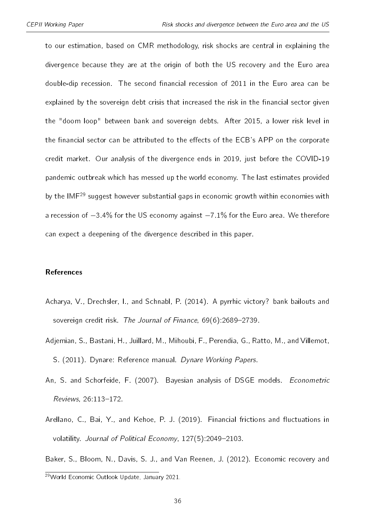to our estimation, based on CMR methodology, risk shocks are central in explaining the divergence because they are at the origin of both the US recovery and the Euro area double-dip recession. The second financial recession of 2011 in the Euro area can be explained by the sovereign debt crisis that increased the risk in the financial sector given the "doom loop" between bank and sovereign debts. After 2015, a lower risk level in the financial sector can be attributed to the effects of the ECB's APP on the corporate credit market. Our analysis of the divergence ends in 2019, just before the COVID-19 pandemic outbreak which has messed up the world economy. The last estimates provided by the IMF<sup>[29](#page-35-5)</sup> suggest however substantial gaps in economic growth within economies with a recession of  $-3.4\%$  for the US economy against  $-7.1\%$  for the Euro area. We therefore can expect a deepening of the divergence described in this paper.

#### **References**

- <span id="page-35-4"></span>Acharya, V., Drechsler, I., and Schnabl, P. (2014). A pyrrhic victory? bank bailouts and sovereign credit risk. The Journal of Finance,  $69(6)$ : 2689-2739.
- <span id="page-35-2"></span>Adjemian, S., Bastani, H., Juillard, M., Mihoubi, F., Perendia, G., Ratto, M., and Villemot, S. (2011). Dynare: Reference manual. Dynare Working Papers.
- <span id="page-35-3"></span>An, S. and Schorfeide, F. (2007). Bayesian analysis of DSGE models. Econometric Reviews, 26:113-172.
- <span id="page-35-1"></span>Arellano, C., Bai, Y., and Kehoe, P. J. (2019). Financial frictions and fluctuations in volatility. Journal of Political Economy, 127(5):2049-2103.

<span id="page-35-5"></span><span id="page-35-0"></span>Baker, S., Bloom, N., Davis, S. J., and Van Reenen, J. (2012). Economic recovery and

<sup>29</sup>World Economic Outlook Update, January 2021.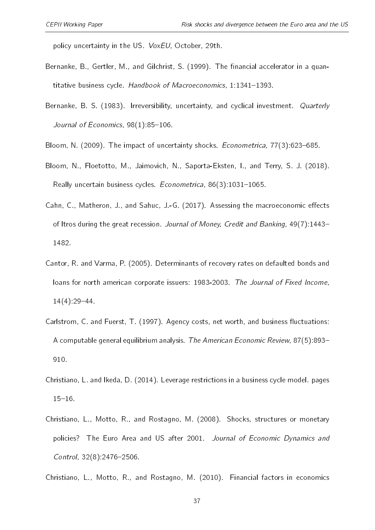policy uncertainty in the US. VoxEU, October, 29th.

- <span id="page-36-0"></span>Bernanke, B., Gertler, M., and Gilchrist, S. (1999). The financial accelerator in a quantitative business cycle. Handbook of Macroeconomics,  $1:1341-1393$ .
- <span id="page-36-1"></span>Bernanke, B. S. (1983). Irreversibility, uncertainty, and cyclical investment. Quarterly Journal of Economics,  $98(1)$ : 85-106.
- <span id="page-36-3"></span><span id="page-36-2"></span>Bloom, N. (2009). The impact of uncertainty shocks. *Econometrica*, 77(3):623–685.
- Bloom, N., Floetotto, M., Jaimovich, N., Saporta-Eksten, I., and Terry, S. J. (2018). Really uncertain business cycles. Econometrica, 86(3):1031-1065.
- <span id="page-36-5"></span>Cahn, C., Matheron, J., and Sahuc, J.-G. (2017). Assessing the macroeconomic effects of Itros during the great recession. Journal of Money, Credit and Banking, 49(7):1443– 1482.
- <span id="page-36-8"></span>Cantor, R. and Varma, P. (2005). Determinants of recovery rates on defaulted bonds and loans for north american corporate issuers: 1983-2003. The Journal of Fixed Income,  $14(4)$ :29-44.
- <span id="page-36-7"></span>Carlstrom, C. and Fuerst, T. (1997). Agency costs, net worth, and business fluctuations: A computable general equilibrium analysis. The American Economic Review, 87(5):893 910.
- <span id="page-36-9"></span>Christiano, L. and Ikeda, D. (2014). Leverage restrictions in a business cycle model. pages  $15 - 16$ .
- <span id="page-36-6"></span>Christiano, L., Motto, R., and Rostagno, M. (2008). Shocks, structures or monetary policies? The Euro Area and US after 2001. Journal of Economic Dynamics and Control,  $32(8)$ :  $2476-2506$ .

<span id="page-36-4"></span>Christiano, L., Motto, R., and Rostagno, M. (2010). Financial factors in economics

37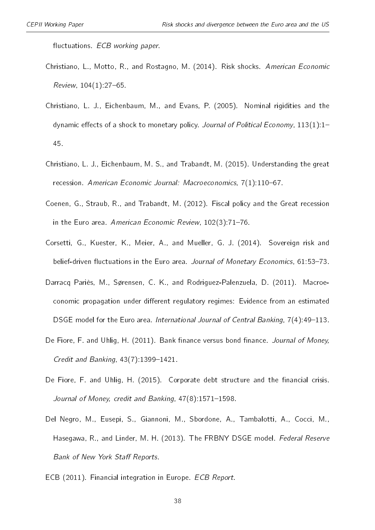fluctuations. ECB working paper.

- <span id="page-37-0"></span>Christiano, L., Motto, R., and Rostagno, M. (2014). Risk shocks. American Economic  $Review, 104(1).27-65.$
- <span id="page-37-5"></span>Christiano, L. J., Eichenbaum, M., and Evans, P. (2005). Nominal rigidities and the dynamic effects of a shock to monetary policy. Journal of Political Economy,  $113(1)$ :1-45.
- <span id="page-37-2"></span>Christiano, L. J., Eichenbaum, M. S., and Trabandt, M. (2015). Understanding the great recession. American Economic Journal: Macroeconomics, 7(1):110-67.
- <span id="page-37-4"></span>Coenen, G., Straub, R., and Trabandt, M. (2012). Fiscal policy and the Great recession in the Euro area. American Economic Review, 102(3):71-76.
- <span id="page-37-8"></span>Corsetti, G., Kuester, K., Meier, A., and Mueller, G. J. (2014). Sovereign risk and belief-driven fluctuations in the Euro area. Journal of Monetary Economics, 61:53-73.
- <span id="page-37-3"></span>Darracq Pariès, M., Sørensen, C. K., and Rodriguez-Palenzuela, D. (2011). Macroeconomic propagation under different regulatory regimes: Evidence from an estimated DSGE model for the Euro area. International Journal of Central Banking, 7(4):49-113.
- <span id="page-37-6"></span>De Fiore, F. and Uhlig, H. (2011). Bank finance versus bond finance. Journal of Money, Credit and Banking,  $43(7)$ : 1399-1421.
- <span id="page-37-7"></span>De Fiore, F. and Uhlig, H. (2015). Corporate debt structure and the financial crisis. Journal of Money, credit and Banking,  $47(8)$ : 1571-1598.
- <span id="page-37-1"></span>Del Negro, M., Eusepi, S., Giannoni, M., Sbordone, A., Tambalotti, A., Cocci, M., Hasegawa, R., and Linder, M. H. (2013). The FRBNY DSGE model. Federal Reserve Bank of New York Staff Reports.
- <span id="page-37-9"></span>ECB (2011). Financial integration in Europe. ECB Report.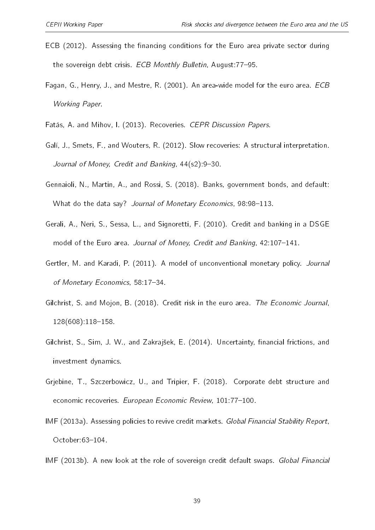- <span id="page-38-11"></span>ECB (2012). Assessing the financing conditions for the Euro area private sector during the sovereign debt crisis. ECB Monthly Bulletin, August: 77-95.
- <span id="page-38-4"></span>Fagan, G., Henry, J., and Mestre, R. (2001). An area-wide model for the euro area. ECB Working Paper.
- <span id="page-38-1"></span><span id="page-38-0"></span>Fatás, A. and Mihov, I. (2013). Recoveries. CEPR Discussion Papers.
- Galí, J., Smets, F., and Wouters, R. (2012). Slow recoveries: A structural interpretation. Journal of Money, Credit and Banking, 44(s2): 9-30.
- <span id="page-38-9"></span>Gennaioli, N., Martin, A., and Rossi, S. (2018). Banks, government bonds, and default: What do the data say? Journal of Monetary Economics, 98:98-113.
- <span id="page-38-8"></span>Gerali, A., Neri, S., Sessa, L., and Signoretti, F. (2010). Credit and banking in a DSGE model of the Euro area. Journal of Money, Credit and Banking, 42:107-141.
- <span id="page-38-2"></span>Gertler, M. and Karadi, P. (2011). A model of unconventional monetary policy. Journal of Monetary Economics, 58:17-34.
- <span id="page-38-5"></span>Gilchrist, S. and Mojon, B. (2018). Credit risk in the euro area. The Economic Journal,  $128(608)$ :118-158.
- <span id="page-38-3"></span>Gilchrist, S., Sim, J. W., and Zakrajšek, E. (2014). Uncertainty, financial frictions, and investment dynamics.
- <span id="page-38-6"></span>Grjebine, T., Szczerbowicz, U., and Tripier, F. (2018). Corporate debt structure and economic recoveries. European Economic Review, 101:77-100.
- <span id="page-38-7"></span>IMF (2013a). Assessing policies to revive credit markets. Global Financial Stability Report, October: 63-104.
- <span id="page-38-10"></span>IMF (2013b). A new look at the role of sovereign credit default swaps. Global Financial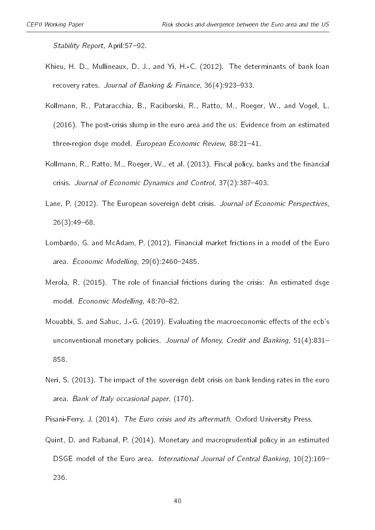Stability Report, April: 57-92.

- <span id="page-39-5"></span>Khieu, H. D., Mullineaux, D. J., and Yi, H.-C. (2012). The determinants of bank loan recovery rates. Journal of Banking  $&$  Finance, 36(4): 923–933.
- <span id="page-39-7"></span>Kollmann, R., Pataracchia, B., Raciborski, R., Ratto, M., Roeger, W., and Vogel, L. (2016). The post-crisis slump in the euro area and the us: Evidence from an estimated three-region dsge model. European Economic Review, 88:21-41.
- <span id="page-39-3"></span>Kollmann, R., Ratto, M., Roeger, W., et al. (2013). Fiscal policy, banks and the financial crisis. Journal of Economic Dynamics and Control, 37(2):387-403.
- <span id="page-39-8"></span>Lane, P. (2012). The European sovereign debt crisis. Journal of Economic Perspectives,  $26(3)$ :49-68.
- <span id="page-39-2"></span>Lombardo, G. and McAdam, P. (2012). Financial market frictions in a model of the Euro area. Economic Modelling,  $29(6)$ : 2460-2485.
- <span id="page-39-1"></span>Merola, R. (2015). The role of financial frictions during the crisis: An estimated dsge model. Economic Modelling, 48:70-82.
- <span id="page-39-4"></span>Mouabbi, S. and Sahuc, J.-G. (2019). Evaluating the macroeconomic effects of the ecb's unconventional monetary policies. Journal of Money, Credit and Banking, 51(4):831-858.
- <span id="page-39-9"></span>Neri, S. (2013). The impact of the sovereign debt crisis on bank lending rates in the euro area. Bank of Italy occasional paper, (170).
- <span id="page-39-6"></span><span id="page-39-0"></span>Pisani-Ferry, J. (2014). The Euro crisis and its aftermath. Oxford University Press.
- Quint, D. and Rabanal, P. (2014). Monetary and macroprudential policy in an estimated DSGE model of the Euro area. International Journal of Central Banking, 10(2):169-236.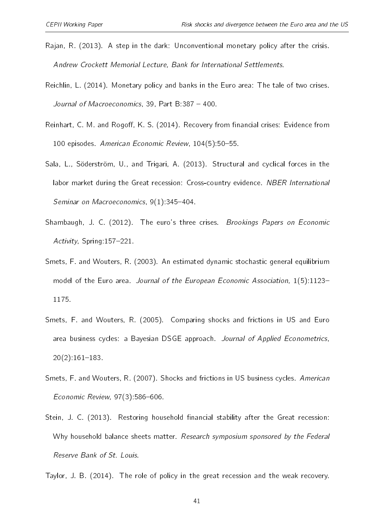- <span id="page-40-8"></span>Rajan, R. (2013). A step in the dark: Unconventional monetary policy after the crisis. Andrew Crockett Memorial Lecture, Bank for International Settlements.
- <span id="page-40-6"></span>Reichlin, L. (2014). Monetary policy and banks in the Euro area: The tale of two crises. Journal of Macroeconomics, 39, Part B:387  $-$  400.
- <span id="page-40-1"></span>Reinhart, C. M. and Rogoff, K. S. (2014). Recovery from financial crises: Evidence from 100 episodes. American Economic Review, 104(5):50-55.
- <span id="page-40-3"></span>Sala, L., Söderström, U., and Trigari, A. (2013). Structural and cyclical forces in the labor market during the Great recession: Cross-country evidence. NBER International Seminar on Macroeconomics, 9(1):345-404.
- <span id="page-40-9"></span>Shambaugh, J. C. (2012). The euro's three crises. Brookings Papers on Economic Activity, Spring: 157-221.
- <span id="page-40-4"></span>Smets, F. and Wouters, R. (2003). An estimated dynamic stochastic general equilibrium model of the Euro area. Journal of the European Economic Association, 1(5):1123-1175.
- <span id="page-40-2"></span>Smets, F. and Wouters, R. (2005). Comparing shocks and frictions in US and Euro area business cycles: a Bayesian DSGE approach. Journal of Applied Econometrics,  $20(2)$ :161-183.
- <span id="page-40-5"></span>Smets, F. and Wouters, R. (2007). Shocks and frictions in US business cycles. American Economic Review,  $97(3)$ :586-606.
- <span id="page-40-7"></span>Stein, J. C. (2013). Restoring household financial stability after the Great recession: Why household balance sheets matter. Research symposium sponsored by the Federal Reserve Bank of St. Louis.

<span id="page-40-0"></span>Taylor, J. B. (2014). The role of policy in the great recession and the weak recovery.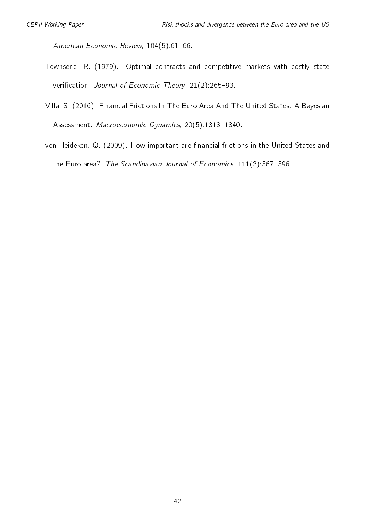American Economic Review, 104(5):61-66.

- <span id="page-41-0"></span>Townsend, R. (1979). Optimal contracts and competitive markets with costly state verification. Journal of Economic Theory, 21(2):265-93.
- <span id="page-41-1"></span>Villa, S. (2016). Financial Frictions In The Euro Area And The United States: A Bayesian Assessment. Macroeconomic Dynamics, 20(5):1313-1340.
- <span id="page-41-2"></span>von Heideken, Q. (2009). How important are financial frictions in the United States and the Euro area? The Scandinavian Journal of Economics,  $111(3):567-596$ .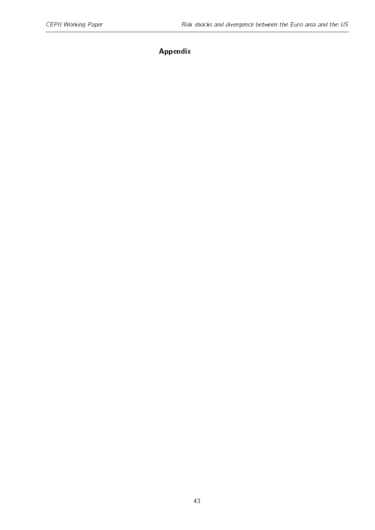### Appendix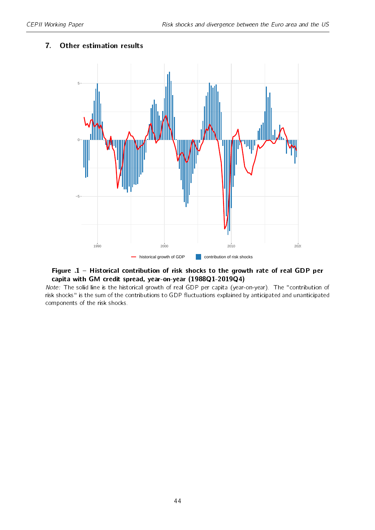#### <span id="page-43-0"></span>7. Other estimation results



#### Figure .1 - Historical contribution of risk shocks to the growth rate of real GDP per capita with GM credit spread, year-on-year (1988Q1-2019Q4)

Note: The solid line is the historical growth of real GDP per capita (year-on-year). The "contribution of risk shocks" is the sum of the contributions to GDP fluctuations explained by anticipated and unanticipated components of the risk shocks.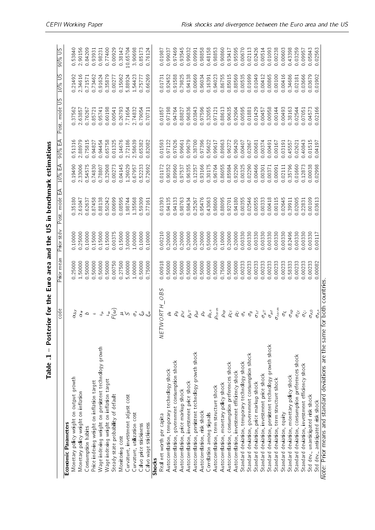<span id="page-44-0"></span>

|                                                                            | code                                                                                                                                                                                                                                                                                                                                                                                                                                                                                                                                                     | Prior mean       | Prior stdv | Post mode EA                | $10\%$ EA | 90% EA                     | Post mode US | $10\%$ US | <b>SO% 02</b> |
|----------------------------------------------------------------------------|----------------------------------------------------------------------------------------------------------------------------------------------------------------------------------------------------------------------------------------------------------------------------------------------------------------------------------------------------------------------------------------------------------------------------------------------------------------------------------------------------------------------------------------------------------|------------------|------------|-----------------------------|-----------|----------------------------|--------------|-----------|---------------|
| <b>Economic Parameters</b>                                                 |                                                                                                                                                                                                                                                                                                                                                                                                                                                                                                                                                          |                  |            |                             |           |                            |              |           |               |
| Monetary policy weight on output growth                                    | $\alpha_{\Delta y}$                                                                                                                                                                                                                                                                                                                                                                                                                                                                                                                                      | 0.25000          | 0.10000    | 035180                      | 0.19490   | 5131<br>$\overline{\circ}$ | 037562       | 0.21492   | 053840        |
| Monetary policy weight on inflation                                        |                                                                                                                                                                                                                                                                                                                                                                                                                                                                                                                                                          | 1.50000          | 0.25000    | 2.61047                     | 233006    | 288979                     | 263857       | 2.34616   | 2.90156       |
| Consumption habits                                                         | $\alpha_\mu$                                                                                                                                                                                                                                                                                                                                                                                                                                                                                                                                             | 0.50000          | 0.10000    | 062637                      | 054575    | 075815                     | 0.76267      | 071571    | 084209        |
| Price indexing weight on inflation target                                  | $\overline{\phantom{a}}$                                                                                                                                                                                                                                                                                                                                                                                                                                                                                                                                 | 0.50000          | 0.15000    | 087458                      | 074830    | 0.94827                    | 085721       | 073462    | 093931        |
| Wage indexing weight on persistent technology growth                       |                                                                                                                                                                                                                                                                                                                                                                                                                                                                                                                                                          | 0.50000          | 0.15000    | 0.88138                     | 078807    | 0.94454                    | 095741       | 091624    | 0 98231       |
| Wage indexing weight on inflation target                                   | $\frac{2}{7}$                                                                                                                                                                                                                                                                                                                                                                                                                                                                                                                                            | 0.50000          | 0.15000    | 50242<br>$\circ$            | 032908    | 065758                     | 0.60198      | 035879    | 077400        |
| Steady state probability of default                                        | $F(\omega)$                                                                                                                                                                                                                                                                                                                                                                                                                                                                                                                                              | 0.00750          | 0.00375    | 0.00699                     | 0.00273   | 0.01325                    | 0.00541      | 0.00277   | 0.00929       |
| Monitoring cost                                                            |                                                                                                                                                                                                                                                                                                                                                                                                                                                                                                                                                          | 0.27500          | 0.15000    | 0.08595                     | 0.04145   | 0.14676                    | 026793       | 0.15062   | 0.38142       |
| Curvature, investment adjust cost                                          |                                                                                                                                                                                                                                                                                                                                                                                                                                                                                                                                                          | 5.00000          | 3.00000    | 198744                      | 126029    | 272186                     | 771654       | 588924    | 10.65704      |
| Curvature, utilization cost                                                |                                                                                                                                                                                                                                                                                                                                                                                                                                                                                                                                                          | 1.00000          | 1.00000    | 135568                      | 067957    | 58639                      | 274832       | 1 54423   | 390698        |
| Calvo price stickiness                                                     | $\begin{array}{c} \mathcal{L} \setminus \mathcal{L} \setminus \mathcal{L} \setminus \mathcal{L} \setminus \mathcal{L} \setminus \mathcal{L} \setminus \mathcal{L} \setminus \mathcal{L} \setminus \mathcal{L} \setminus \mathcal{L} \setminus \mathcal{L} \setminus \mathcal{L} \setminus \mathcal{L} \setminus \mathcal{L} \setminus \mathcal{L} \setminus \mathcal{L} \setminus \mathcal{L} \setminus \mathcal{L} \setminus \mathcal{L} \setminus \mathcal{L} \setminus \mathcal{L} \setminus \mathcal{L} \setminus \mathcal{L} \setminus \mathcal{L}$ | 0.50000          | 0.10000    | 0.59309                     | 052233    | 0.65382                    | 079054       | 0.75777   | 0.85173       |
| Calvo wage stickiness                                                      |                                                                                                                                                                                                                                                                                                                                                                                                                                                                                                                                                          | 075000           | 0.10000    | 077161                      | 072692    | 82082                      | 0.70711      | 0.66269   | 0.76124       |
| <b>Shocks</b>                                                              |                                                                                                                                                                                                                                                                                                                                                                                                                                                                                                                                                          |                  |            |                             |           |                            |              |           |               |
| Real net worth per capita                                                  | <b>OBS</b><br>NETWORTH                                                                                                                                                                                                                                                                                                                                                                                                                                                                                                                                   | 0.00918          | 0.00210    | 0.01393                     | 0.01172   | 0.01593                    | 0.01857      | 0.01731   | 0.01987       |
| Autocorrelation, temporary technology shock                                |                                                                                                                                                                                                                                                                                                                                                                                                                                                                                                                                                          | 0.50000          | 0.20000    | 0.94135                     | 0.90352   | 0.97122                    | 0.97198      | 0.92452   | 0.99037       |
| Autocorrelation, government consumption shock                              |                                                                                                                                                                                                                                                                                                                                                                                                                                                                                                                                                          | 0.50000          | 0.20000    | 0.94133                     | 0.89960   | 0.97626                    | 094764       | 0.91588   | 0.97469       |
| Autocorrelation, price markup shock                                        |                                                                                                                                                                                                                                                                                                                                                                                                                                                                                                                                                          | 0.50000          | 0.20000    | 098763                      | 0.97537   | 0.99661                    | 088827       | 079825    | 0.93545       |
| Autocorrelation, investment price shock                                    |                                                                                                                                                                                                                                                                                                                                                                                                                                                                                                                                                          | 0.50000          | 0.20000    | 0.98434                     | 096355    | 0.99679                    | 0.96836      | 0.94138   | 0.99032       |
| Autocorrelation, persistent technology growth shock                        | $\begin{array}{c} \rho_e \\ \rho_{g} \\ \rho_{\lambda\tau} \\ \rho_{\mu\tau} \\ \rho_{\mu z} \end{array}$                                                                                                                                                                                                                                                                                                                                                                                                                                                | 0.50000          | 0.20000    | 0.25267                     | 012357    | 0.38700                    | 0.03843      | 0.00669   | 0.09991       |
| Autocorrelation, risk shock                                                |                                                                                                                                                                                                                                                                                                                                                                                                                                                                                                                                                          | 50000<br>$\circ$ | 0.20000    | 0.95476                     | 0.93166   | 097396                     | 0.97596      | 0.96034   | 0.98858       |
| Correlation among signals                                                  | $\rho_{\sigma,n}$                                                                                                                                                                                                                                                                                                                                                                                                                                                                                                                                        | 0.00000          | 0.50000    | 043063                      | 0.30175   | 0.56622                    | 0.32055      | 0.16391   | 048158        |
| Autocorrelation, term structure shock                                      | $\rho_{term}$                                                                                                                                                                                                                                                                                                                                                                                                                                                                                                                                            | 0.50000          | 0.20000    | 0.98600                     | 0.96764   | 0.99617                    | 0.97121      | 0.94023   | 098853        |
| Autocorrelation, monetary policy shock                                     | $\rho_{\mathsf{x}\rho}$                                                                                                                                                                                                                                                                                                                                                                                                                                                                                                                                  | 0.75000          | 0.10000    | 0.88095                     | 086055    | 089863                     | 088613       | 086755    | 0.90860       |
| Autocorrelation, consumption preferences shock                             | $\rho_{\zeta c}$                                                                                                                                                                                                                                                                                                                                                                                                                                                                                                                                         | 0.50000          | 0.20000    | 0.92701                     | 085984    | 0.96272                    | 0.90635      | 0.85015   | 0.93417       |
| Autocorrelation, investment efficiency shock                               | $\rho_G$                                                                                                                                                                                                                                                                                                                                                                                                                                                                                                                                                 | 0.50000          | 0.20000    | 94180<br>$\overline{\circ}$ | 0.92290   | 96420<br>d                 | 0.92904      | 0.88569   | 0.95595       |
| Standard deviation, temporary technology shock                             |                                                                                                                                                                                                                                                                                                                                                                                                                                                                                                                                                          | 0.00233          | 0.00330    | 0.00355                     | 0.00325   | 0.00407                    | 0.00595      | 0.00535   | 0.00670       |
| Standard deviation, government consumption shock                           | $\sigma_{\rm e}$                                                                                                                                                                                                                                                                                                                                                                                                                                                                                                                                         | 0.00233          | 0.00330    | 0.02546                     | 002290    | 0.02867                    | 0.01881      | 0.01699   | 0.02113       |
| Standard deviation, price markup shock                                     | $\sigma_{\lambda^f}$                                                                                                                                                                                                                                                                                                                                                                                                                                                                                                                                     | 0.00233          | 0.00330    | 0.00555                     | 0.00466   | 0.00681                    | 0.01429      | 0.01049   | 0.02426       |
| Standard deviation, investment price shock                                 | $\sigma_{\mu\Upsilon}$                                                                                                                                                                                                                                                                                                                                                                                                                                                                                                                                   | 0.00233          | 0.00330    | 0.00333                     | 0.00301   | 0.00374                    | 0.00457      | 0.00412   | 0.00514       |
| Standard deviation, persistent technology growth shock                     | $\sigma_{\mu z}$                                                                                                                                                                                                                                                                                                                                                                                                                                                                                                                                         | 0.00233          | 0.00330    | 0.00418                     | 0.00371   | 0.00491                    | 0.00958      | 0.00865   | 0.01093       |
| Standard deviation, term structure shock                                   | $\sigma_{term}$                                                                                                                                                                                                                                                                                                                                                                                                                                                                                                                                          | 0.00233          | 0.00330    | 0.00115                     | 0.00091   | 0.00167                    | 0.00144      | 0.00100   | 0.00238       |
| Standard deviation, equity                                                 | $\sigma_{\xi}$                                                                                                                                                                                                                                                                                                                                                                                                                                                                                                                                           | 000233           | 0.00330    | 0.02645                     | 0.02111   | 0.03191                    | 0.00493      | 0.00416   | 0.00603       |
| Standard deviation, monetary policy shock                                  | $\sigma_{\mathsf{x}\varrho}$                                                                                                                                                                                                                                                                                                                                                                                                                                                                                                                             | 0.58333          | 082496     | 0.39911                     | 035796    | 0.45557                    | 0.38163      | 034686    | 043398        |
| Standard deviation, consumption preferences shock                          | $\sigma_{\zeta c}$                                                                                                                                                                                                                                                                                                                                                                                                                                                                                                                                       | 0.00233          | 0.00330    | 0.02005                     | 0.01660   | 0.02621                    | 0.02544      | 0.02181   | 0.03259       |
| Standard deviation, investment efficiency shock                            | $\sigma_{\zeta i}$                                                                                                                                                                                                                                                                                                                                                                                                                                                                                                                                       | 0.00233          | 0.00330    | 22831                       | 012873    | 040843                     | 0.07051      | 0.03666   | 0.09957       |
| Std dev., unanticipated risk shock                                         | $\sigma_{\sigma,0}$                                                                                                                                                                                                                                                                                                                                                                                                                                                                                                                                      | 0.00233          | 0.00330    | 0.00109                     | 0.00038   | 0.01515                    | 0.04573      | 0.03679   | 0.05843       |
| Std dev, anticipated risk shock                                            | $\sigma_{\sigma,n}$                                                                                                                                                                                                                                                                                                                                                                                                                                                                                                                                      | 0.00082          | 0.00117    | 0.03613                     | 0.02998   | 0.04197                    | 0.02166      | 0.01902   | 002563        |
| Note: Prior means and standard deviations are the same for both countries. |                                                                                                                                                                                                                                                                                                                                                                                                                                                                                                                                                          |                  |            |                             |           |                            |              |           |               |

Table .1 - Posterior for the Euro area and the US in benchmark estimations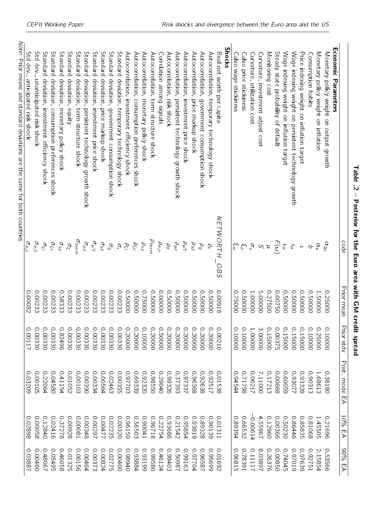| i                                                                                            |
|----------------------------------------------------------------------------------------------|
| i<br>I                                                                                       |
| I<br>$\frac{1}{2}$<br>ī                                                                      |
| į<br>١                                                                                       |
| $\ddot{\phantom{a}}$                                                                         |
| I<br>1<br>֧֧֧֧֧֦֧֦֧֦֧֧֧֦֧֧֧֧֧֦֧֧֧֧֪֛֧֧֧֪֛֞֝֟֓֕֓֕֓֕֓֕֓֓֬֓֓֓֝֓֝֬֓֝֬֓֝֬֓֓֓֬֓֓֓֬֓֬֓֝֬֓֬֓֬֝֬֝֬֓֬֬ |
| -<br>(<br>(                                                                                  |
|                                                                                              |
| $\mathbf{r}$                                                                                 |
| $\frac{1}{2}$<br>l<br>ī                                                                      |
| i                                                                                            |

<span id="page-45-0"></span>

|                                                                            | code                                                                                                                       | Prior mean | Prior stdv | Post. mode EA | 10% EA  | 90% EA  |
|----------------------------------------------------------------------------|----------------------------------------------------------------------------------------------------------------------------|------------|------------|---------------|---------|---------|
| <b>Ecomic Parameters</b>                                                   |                                                                                                                            |            |            |               |         |         |
| Monetary policy weight on output growth                                    | $\alpha_{\Delta y}$                                                                                                        | 00092.0    | 0.10000    | 0.38180       | 0.21696 | 0.53566 |
| Monetary policy weight on inflation                                        | $\alpha_\pi$                                                                                                               | 1.50000    | 0.25000    | 1.68613       | 145505  | 2.15854 |
| Consumption habits                                                         | $\sigma$                                                                                                                   | 0.00005    | 0.10000    | 0.90313       | 890180  | 197751  |
| Price indexing weight on inflation target                                  | $\overline{r}$                                                                                                             | 0.0000     | 000510     | 0.93328       | 0.85835 | 0.97639 |
| Wage indexing weight on persistent technology growth                       |                                                                                                                            | 0000050    | 0.15000    | 17089.0       | 0.86446 | 610260  |
| Wage indexing weight on inflation target                                   | $\begin{aligned} \widetilde{\omega} \leq \frac{\varepsilon}{\sqrt{2}} \leq \frac{\varepsilon}{\varepsilon}. \end{aligned}$ | 0000050    | 000510     | 690090        | 0.50230 | 0.74045 |
| Steady state probability of default                                        |                                                                                                                            | 05700.50   | 0.00375    | 0.00668       | 0.00366 | 0.00850 |
| Monitoring cost                                                            |                                                                                                                            | 0.27500    | 0.0510     | 0.17213       | 0.12960 | 0.26376 |
| Curvature, investment adjust cost                                          |                                                                                                                            | 5.00000    | 3.00000    | 111000        | 4 55967 | 8 03897 |
| Curvature, utilization cost                                                |                                                                                                                            | 1.00000    | 1.00000    | 1200.0        | 0.00614 | 111177  |
| Calvo price stickiness                                                     |                                                                                                                            | 000005     | 000001     | 0.71798       | 0.66532 | 162820  |
| Calvo wage stickiness                                                      | $\sum_{\beta}^{\alpha} \sum_{\beta}^{\beta}$                                                                               | 00092.0    | 00000      | 0.94544       | 0.89394 | 0.96815 |
| Shocks                                                                     |                                                                                                                            |            |            |               |         |         |
| Real net worth per capita                                                  | <b>NETWORTH</b><br><b>OBS</b>                                                                                              | 0.00918    | 0.00210    | 0.01538       | 0.01311 | 0.01692 |
| Autocorrelation, temporary technology shock                                | $\beta_{\varepsilon}$                                                                                                      | 000009     | 0.20000    | 0.92517       | 0.90139 | 669560  |
| Autocorrelation,<br>government consumption shock                           | $\varrho_g$                                                                                                                | 000005     | 000000     | 0.92638       | 82228   | 189960  |
| Autocorrelation, price markup shock                                        | $\rho_{\lambda f}$                                                                                                         | 000005     | 000000     | 0.96368       | 0.93819 | 0.97704 |
| Autocorrelation, investment price shock                                    | $\rho_\mu \gamma$                                                                                                          | 0.50000    | 000000     | 0.97337       | 0.95854 | 0.99163 |
| Autocorrelation, persistent technology growth shock                        | $\rho_{\mu z}$                                                                                                             | 000005     | 000000     | 0.37393       | 0.21542 | 186050  |
| Autocorrelation, risk shock                                                | $\rho_\sigma$                                                                                                              | 000009     | 00000      | 0.99326       | 0.93686 | 0.99403 |
| Correlation among signals                                                  | $\rho_{\sigma,n}$                                                                                                          | 000000     | 000005     | 0+062:0       | 0.22754 | 0.46124 |
| Autocorrelation, term structure shock                                      | $\rho_{term}$                                                                                                              | 000005     | 000000     | 0.38550       | 812960  | 089660  |
| Autocorrelation, monetary policy shock                                     | $\rho_{\times\rho}$                                                                                                        | 000920     | 000000     | 02320         | 0.90041 | 0.93199 |
| Autocorrelation,<br>consumption preferences shock                          | $\rho_\zeta c$                                                                                                             | 000005     | 000000     | 0.69339       | 0.56503 | 0.93884 |
| Autocorrelation, investment efficiency shock                               | ρći                                                                                                                        | 0.00005    | 000000     | 0.97703       | 0.96159 | 0+6860  |
| Standard deviation, temporary technology shock                             | $\sigma_\epsilon$                                                                                                          | 0.00233    | 0.00330    | 0.00355       | 0.00320 | 000000  |
| Standard deviation,<br>government consumption shock                        | $\sigma_g$                                                                                                                 | 0.00233    | 0.00330    | 0.02463       | 0.02235 | 97775   |
| Standard deviation,<br>price markup shock                                  | $\sigma_{\lambda f}$                                                                                                       | 0.00233    | 0.00330    | 0.00564       | 0.00477 | 0.00824 |
| Standard deviation,<br>investment price shock                              | $\sigma_{\mu}$ T                                                                                                           | 0.00233    | 0.00330    | 0.00334       | 16200'0 | 0.00373 |
| Standard<br>deviation,<br>persistent technology growth shock               | $\sigma_{\mu z}$                                                                                                           | 0.00233    | 0.00330    | 06800.0       | 0.00348 | 0.00464 |
| Standard<br>deviation,<br>term structure shock                             | $\sigma_{term}$                                                                                                            | 0.00233    | 0.00330    | 0.00103       | 18000 0 | 0.00156 |
| <b>Standard</b><br>deviation,<br>Rurty                                     | $\sigma_\xi$                                                                                                               | 0.00233    | 0.00330    | 0.01052       | 0.00928 | 0.01325 |
| Standard<br>deviation,<br>monetary policy shock                            | $\sigma_{X\rho}$                                                                                                           | 0.58333    | 0.82496    | 0.41154       | 0.37278 | 0.46058 |
| Standard<br>deviation,<br>consumption preferences shock                    | $\sigma_\zeta c$                                                                                                           | 0.00233    | 0.00330    | 085+00        | 0.02416 | 0.05495 |
| Standard deviation, investment efficiency shock                            | $\sigma_{\zeta i}$                                                                                                         | 0.00233    | 0.00330    | 0.22064       | 0.12840 | 0.48067 |
| Std dev., unanticipated risk shock                                         | $\sigma_{\sigma,0}$                                                                                                        | 0.00233    | 0.00330    | 0.00105       | 0.00058 | 00460   |
| Std dev., anticipated risk shock                                           | $\sigma_{\sigma,n}$                                                                                                        | 0.00082    | 100.01     | 0.03209       | 0.02898 | 0.03887 |
| Mote: Prior means and standard deviations are the same for both countries. |                                                                                                                            |            |            |               |         |         |